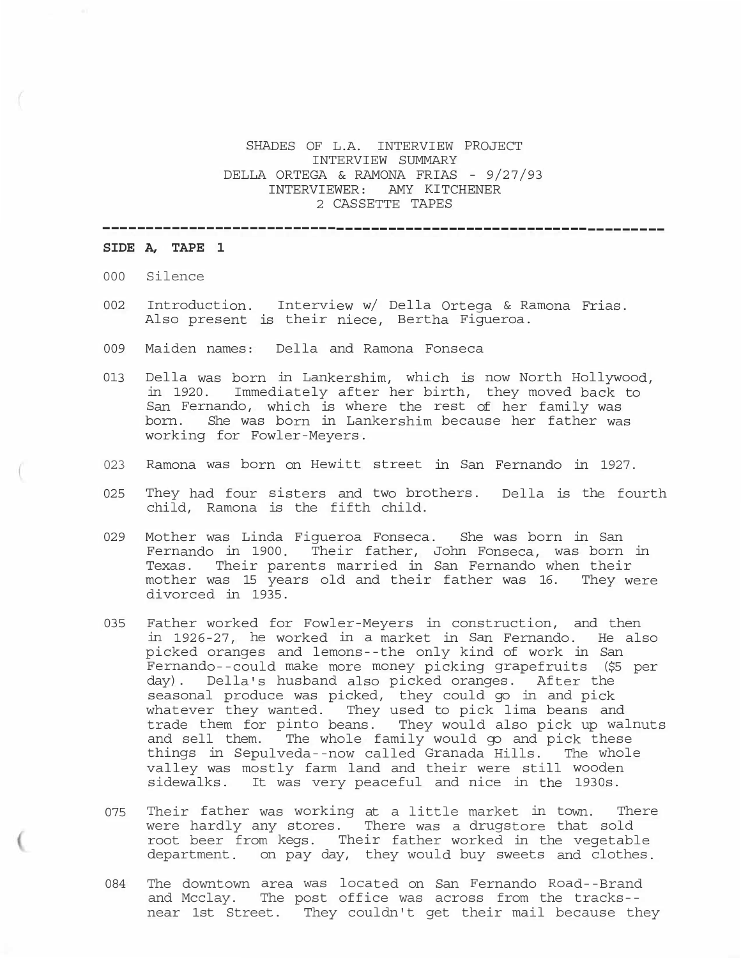# SHADES OF L.A. INTERVIEW PROJECT INTERVIEW SUMMARY DELLA ORTEGA & RAMONA FRIAS - 9/27/93 INTERVIEWER: AMY KITCHENER 2 CASSETTE TAPES

-----------------------------------------------------------------

## **SIDE A, TAPE 1**

- 000 Silence
- 002 Introduction. Interview w/ Della Ortega & Ramona Frias. Also present is their niece, Bertha Figueroa.
- 009 Maiden names: Della and Ramona Fonseca
- 013 Della was born in Lankershim, which is now North Hollywood, in 1920. Immediately after her birth, they moved back to San Fernando, which is where the rest of her family was born. She was born in Lankershim because her father was working for Fowler-Meyers.
- 023 Ramona was born on Hewitt street in San Fernando in 1927.
- 025 They had four sisters and two brothers. Della is the fourth child, Ramona is the fifth child.
- 029 Mother was Linda Figueroa Fonseca. She was born in San Fernando in 1900. Their father, John Fonseca, was born in Texas. Their parents married in San Fernando when their mother was 15 years old and their father was 16. They were divorced in 1935.
- 035 Father worked for Fowler-Meyers in construction, and then in 1926-27, he worked in a market in San Fernando. He also picked oranges and lemons--the only kind of work in San Fernando--could make more money picking grapefruits (\$5 per day). Della's husband also picked oranges. After the seasonal produce was picked, they could go in and pick whatever they wanted. They used to pick lima beans and trade them for pinto beans. They would also pick up walnuts and sell them. The whole family would go and pick these things in Sepulveda--now called Granada Hills. The whole valley was mostly farm land and their were still wooden sidewalks. It was very peaceful and nice in the 1930s.
- 075 Their father was working at a little market in town. There were hardly any stores. There was a drugstore that sold root beer from kegs. Their father worked in the vegetable department. on pay day, they would buy sweets and clothes.
- 084 The downtown area was located on San Fernando Road--Brand and Mcclay. The post office was across from the tracks- near 1st Street. They couldn't get their mail because they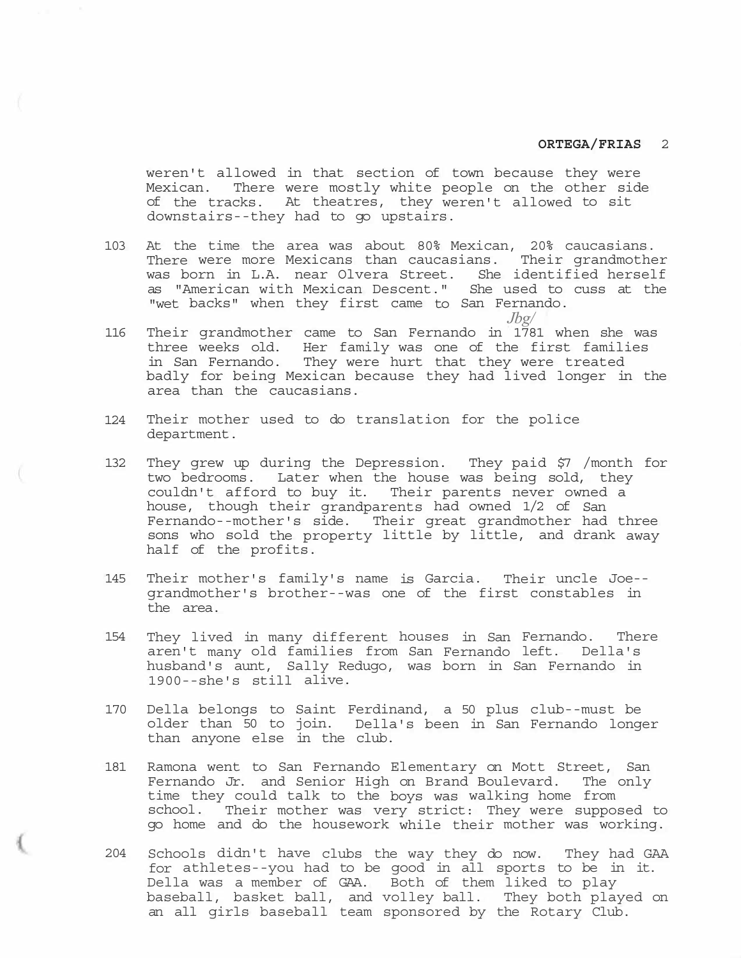weren't allowed in that section of town because they were Mexican. There were mostly white people on the other side of the tracks. At theatres, they weren't allowed to sit downstairs--they had to go upstairs.

- 103 At the time the area was about 80% Mexican, 20% caucasians. There were more Mexicans than caucasians. Their grandmother was born in L.A. near Olvera Street. She identified herself as "American with Mexican Descent." She used to cuss at the "wet backs" when they first came to San Fernando.
	- *Jbg/*
- 116 Their grandmother came to San Fernando in 1781 when she was three weeks old. Her family was one of the first families in San Fernando. They were hurt that they were treated badly for being Mexican because they had lived longer in the area than the caucasians.
- 124 Their mother used to do translation for the police department.
- 132 They grew up during the Depression. They paid \$7 /month for two bedrooms. Later when the house was being sold, they couldn't afford to buy it. Their parents never owned a house, though their grandparents had owned 1/2 of San Fernando--mother's side. Their great grandmother had three sons who sold the property little by little, and drank away half of the profits.
- 145 Their mother's family's name is Garcia. Their uncle Joe- grandmother's brother--was one of the first constables in the area.
- 154 They lived in many different houses in San Fernando. There aren't many old families from San Fernando left. Della's husband's aunt, Sally Redugo, was born in San Fernando in 1900--she's still alive.
- 170 Della belongs to Saint Ferdinand, a 50 plus club--must be older than 50 to join. Della's been in San Fernando longer than anyone else in the club.
- 181 Ramona went to San Fernando Elementary on Mott Street, San Fernando Jr. and Senior High on Brand Boulevard. The only time they could talk to the boys was walking home from school. Their mother was very strict: They were supposed to go home and do the housework while their mother was working.
- 204 Schools didn't have clubs the way they do now. They had GAA for athletes--you had to be good in all sports to be in it. Della was a member of GAA. Both of them liked to play baseball, basket ball, and volley ball. They both played on an all girls baseball team sponsored by the Rotary Club.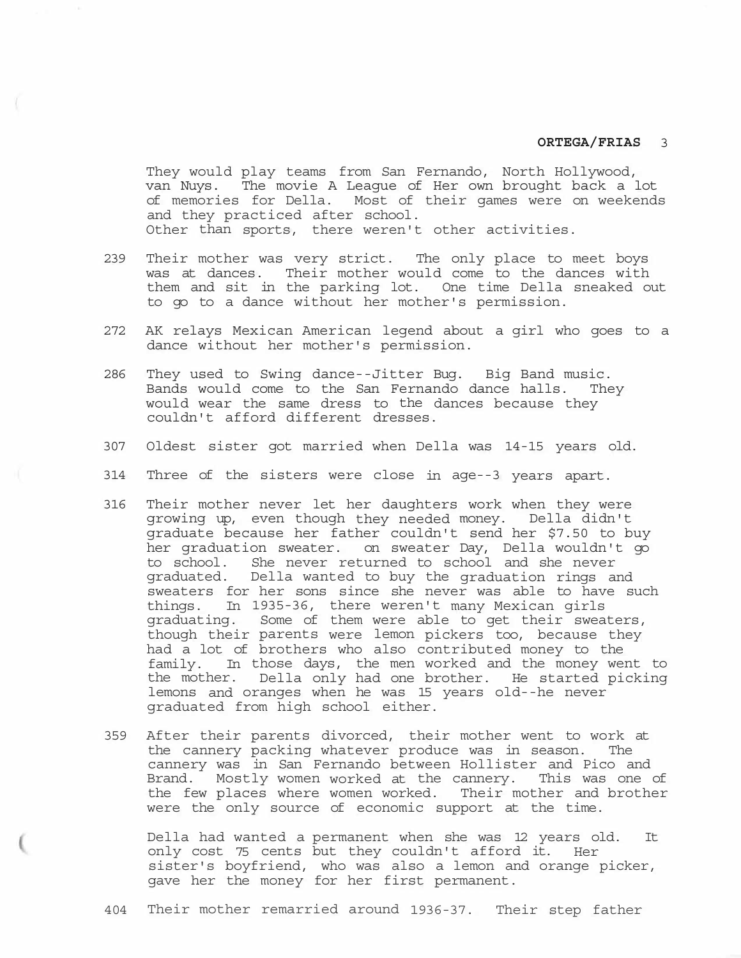They would play teams from San Fernando, North Hollywood, van Nuys. The movie A League of Her own brought back a lot of memories for Della. Most of their games were on weekends and they practiced after school. Other than sports, there weren't other activities.

- 239 Their mother was very strict. The only place to meet boys was at dances. Their mother would come to the dances with them and sit in the parking lot. One time Della sneaked out to go to a dance without her mother's permission.
- 272 AK relays Mexican American legend about a girl who goes to a dance without her mother's permission.
- 286 They used to Swing dance--Jitter Bug. Big Band music. Bands would come to the San Fernando dance halls. They would wear the same dress to the dances because they couldn't afford different dresses.
- 307 Oldest sister got married when Della was 14-15 years old.
- 314 Three of the sisters were close in age--3 years apart.
- 316 Their mother never let her daughters work when they were growing up, even though they needed money. Della didn't graduate because her father couldn't send her \$7.50 to buy her graduation sweater. on sweater Day, Della wouldn't go to school. She never returned to school and she never graduated. Della wanted to buy the graduation rings and sweaters for her sons since she never was able to have such things. In 1935-36, there weren't many Mexican girls graduating. Some of them were able to get their sweaters, though their parents were lemon pickers too, because they had a lot of brothers who also contributed money to the family. In those days, the men worked and the money went to the mother. Della only had one brother. He started picking lemons and oranges when he was 15 years old--he never graduated from high school either.
- 359 After their parents divorced, their mother went to work at the cannery packing whatever produce was in season. The cannery was in San Fernando between Hollister and Pico and Brand. Mostly women worked at the cannery. This was one of the few places where women worked. Their mother and brother were the only source of economic support at the time.

Della had wanted a permanent when she was 12 years old. It only cost 75 cents but they couldn't afford it. Her sister's boyfriend, who was also a lemon and orange picker, gave her the money for her first permanent.

404 Their mother remarried around 1936-37. Their step father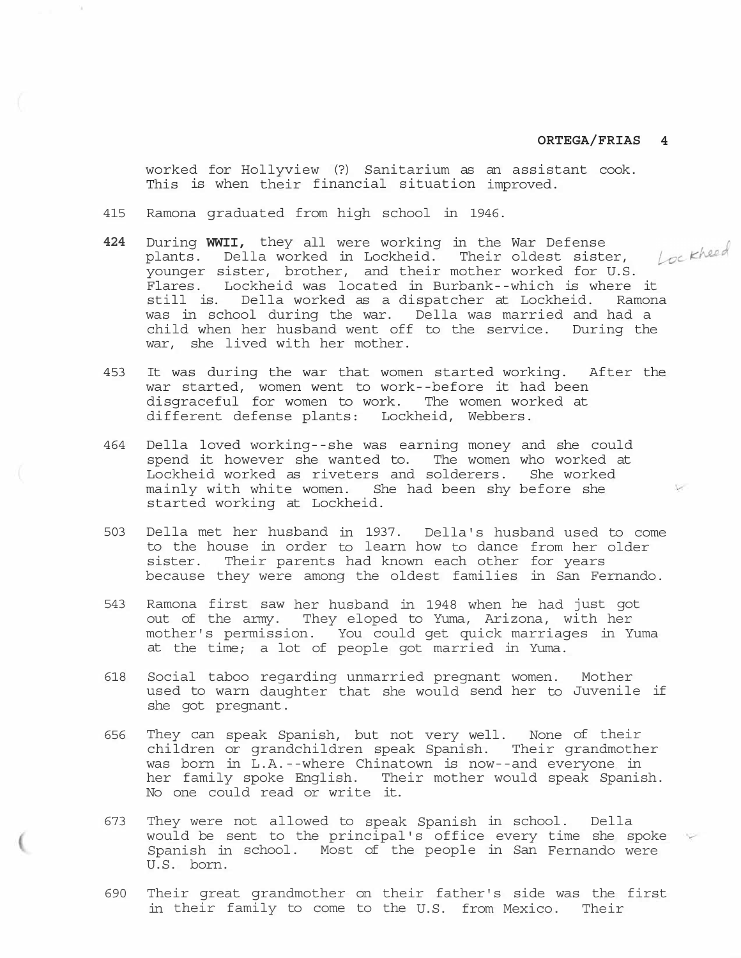worked for Hollyview (?) Sanitarium as an assistant cook. This is when their financial situation improved.

- 415 Ramona graduated from high school in 1946.
- **424** During **WWII,** they all were working in the War Defense plants. Della worked in Lockheid. Their oldest sister, plants. Della worked in Lockheid. Their oldest sister, Lockheed<br>younger sister, brother, and their mother worked for U.S. Flares. Lockheid was located in Burbank--which is where it still is. Della worked as a dispatcher at Lockheid. Ramona was in school during the war. Della was married and had a child when her husband went off to the service. During the war, she lived with her mother.
- 453 It was during the war that women started working. After the war started, women went to work--before it had been<br>disgraceful for women to work. The women worked at disgraceful for women to work. different defense plants: Lockheid, Webbers.
- 464 Della loved working--she was earning money and she could spend it however she wanted to. The women who worked at Lockheid worked as riveters and solderers. She worked mainly with white women. She had been shy before she started working at Lockheid.
- 503 Della met her husband in 1937. Della's husband used to come to the house in order to learn how to dance from her older sister. Their parents had known each other for years because they were among the oldest families in San Fernando.
- 543 Ramona first saw her husband in 1948 when he had just got out of the army. They eloped to Yuma, Arizona, with her mother's permission. You could get quick marriages in Yuma at the time; a lot of people got married in Yuma.
- 618 Social taboo regarding unmarried pregnant women. Mother used to warn daughter that she would send her to Juvenile if she got pregnant.
- 656 They can speak Spanish, but not very well. None of their children or grandchildren speak Spanish. Their grandmother was born in L.A.--where Chinatown is now--and everyone in her family spoke English. Their mother would speak Spanish. No one could read or write it.
- 673 They were not allowed to speak Spanish in school. Della would be sent to the principal's office every time she spoke Spanish in school. Most of the people in San Fernando were U.S. born.
- 690 Their great grandmother on their father's side was the first in their family to come to the U.S. from Mexico. Their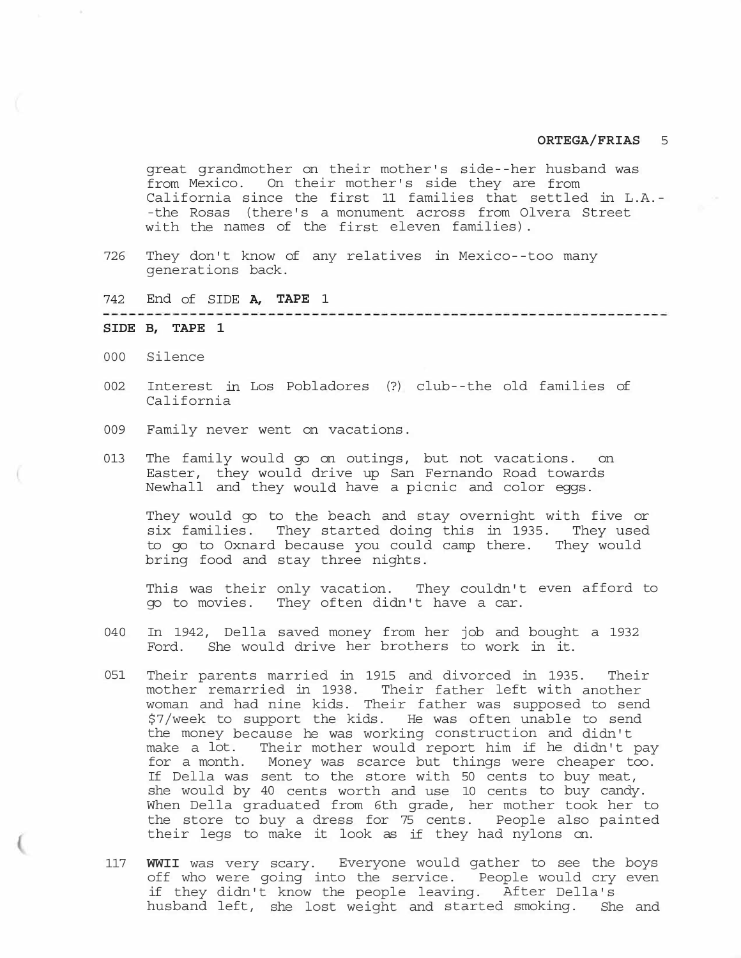great grandmother on their mother's side--her husband was from Mexico. On their mother's side they are from California since the first 11 families that settled in L.A.- -the Rosas (there's a monument across from Olvera Street with the names of the first eleven families).

- 726 They don't know of any relatives in Mexico--too many generations back.
- 742 End of SIDE **A, TAPE** 1

# **SIDE B, TAPE 1**

- 000 Silence
- 002 Interest in Los Pobladores (?) club--the old families of California
- 009 Family never went on vacations.
- 013 The family would go on outings, but not vacations. on Easter, they would drive up San Fernando Road towards Newhall and they would have a picnic and color eggs.

They would go to the beach and stay overnight with five or six families. They started doing this in 1935. They used to go to Oxnard because you could camp there. They would bring food and stay three nights.

This was their only vacation. They couldn't even afford to go to movies. They often didn't have a car.

- 040 In 1942, Della saved money from her job and bought a 1932 Ford. She would drive her brothers to work in it.
- 051 Their parents married in 1915 and divorced in 1935. Their mother remarried in 1938. Their father left with another woman and had nine kids. Their father was supposed to send \$7/week to support the kids. He was often unable to send the money because he was working construction and didn't make a lot. Their mother would report him if he didn't pay for a month. Money was scarce but things were cheaper too. If Della was sent to the store with 50 cents to buy meat, she would by 40 cents worth and use 10 cents to buy candy. When Della graduated from 6th grade, her mother took her to the store to buy a dress for 75 cents. People also painted their legs to make it look as if they had nylons on.
- 117 **WWII** was very scary. Everyone would gather to see the boys off who were going into the service. People would cry even if they didn't know the people leaving. After Della's husband left, she lost weight and started smoking. She and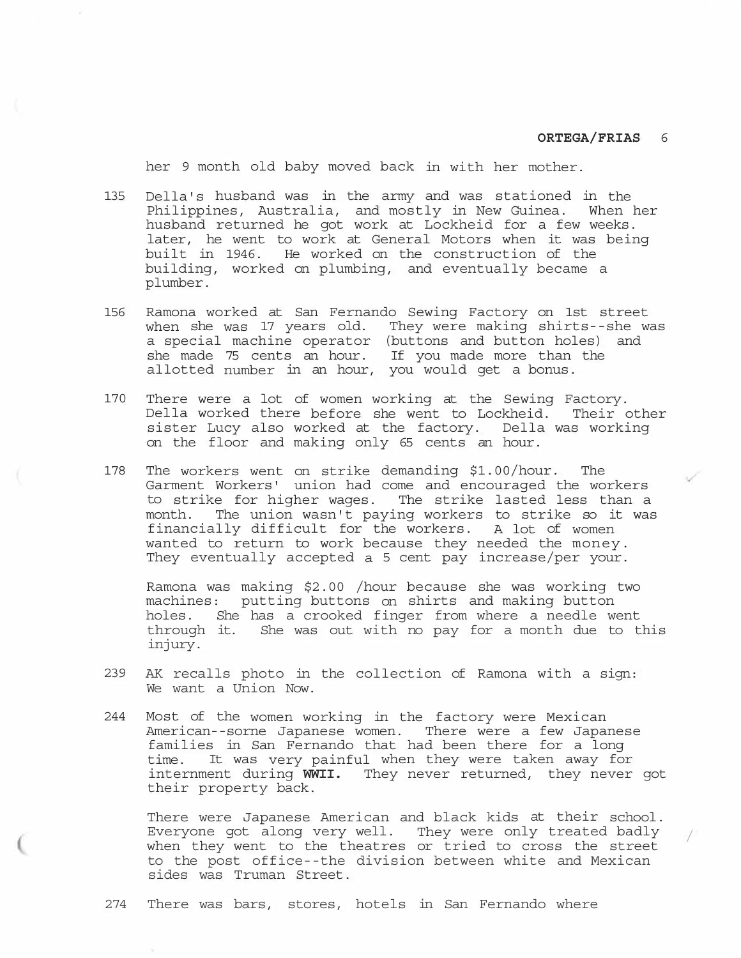/

her 9 month old baby moved back in with her mother.

- 135 Della's husband was in the army and was stationed in the Philippines, Australia, and mostly in New Guinea. When her husband returned he got work at Lockheid for a few weeks. later, he went to work at General Motors when it was being built in 1946. He worked on the construction of the building, worked on plumbing, and eventually became a plumber.
- 156 Ramona worked at San Fernando Sewing Factory on 1st street when she was 17 years old. They were making shirts--she was a special machine operator (buttons and button holes) and she made 75 cents an hour. If you made more than the allotted number in an hour, you would get a bonus.
- 170 There were a lot of women working at the Sewing Factory. Della worked there before she went to Lockheid. Their other sister Lucy also worked at the factory. Della was working on the floor and making only 65 cents an hour.
- 178 The workers went on strike demanding \$1.00/hour. The Garment Workers' union had come and encouraged the workers to strike for higher wages. The strike lasted less than a month. The union wasn't paying workers to strike so it was financially difficult for the workers. A lot of women wanted to return to work because they needed the money. They eventually accepted a 5 cent pay increase/per your.

Ramona was making \$2.00 /hour because she was working two machines: putting buttons on shirts and making button holes. She has a crooked finger from where a needle went through it. She was out with no pay for a month due to this injury.

- 239 AK recalls photo in the collection of Ramona with a sign: We want a Union Now.
- 244 Most of the women working in the factory were Mexican American--sorne Japanese women. There were a few Japanese families in San Fernando that had been there for a long time. It was very painful when they were taken away for internment during **WWII.** They never returned, they never got their property back.

There were Japanese American and black kids at their school. Everyone got along very well. They were only treated badly when they went to the theatres or tried to cross the street to the post office--the division between white and Mexican sides was Truman Street.

274 There was bars, stores, hotels in San Fernando where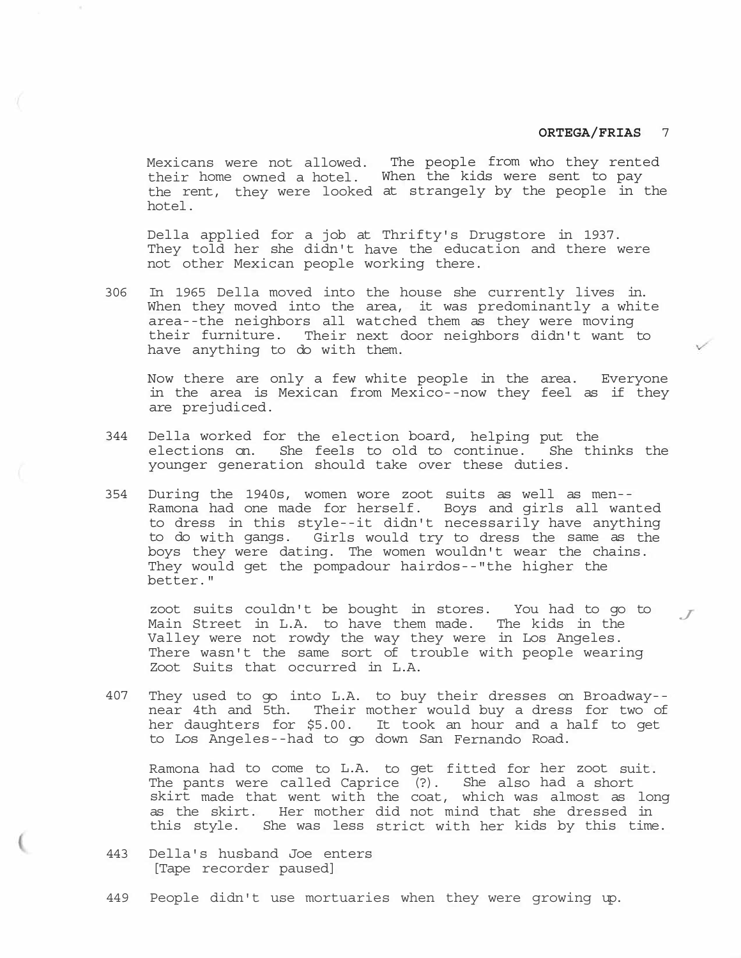*J*

Mexicans were not allowed. The people from who they rented their home owned a hotel. When the kids were sent to pay the rent, they were looked at strangely by the people in the hotel.

Della applied for a job at Thrifty's Drugstore in 1937. They told her she didn't have the education and there were not other Mexican people working there.

306 In 1965 Della moved into the house she currently lives in. When they moved into the area, it was predominantly a white area--the neighbors all watched them as they were moving their furniture. Their next door neighbors didn't want to have anything to do with them.

Now there are only a few white people in the area. Everyone in the area is Mexican from Mexico--now they feel as if they are prejudiced.

- 344 Della worked for the election board, helping put the elections on. She feels to old to continue. She thinks the younger generation should take over these duties.
- 354 During the 1940s, women wore zoot suits as well as men-- Ramona had one made for herself. Boys and girls all wanted to dress in this style--it didn't necessarily have anything to do with gangs. Girls would try to dress the same as the boys they were dating. The women wouldn't wear the chains. They would get the pompadour hairdos--"the higher the better."

zoot suits couldn't be bought in stores. You had to go to Main Street in L.A. to have them made. The kids in the Valley were not rowdy the way they were in Los Angeles. There wasn't the same sort of trouble with people wearing Zoot Suits that occurred in L.A.

407 They used to go into L.A. to buy their dresses on Broadway- near 4th and 5th. Their mother would buy a dress for two of her daughters for \$5.00. It took an hour and a half to get to Los Angeles--had to go down San Fernando Road.

Ramona had to come to L.A. to get fitted for her zoot suit. The pants were called Caprice (?). She also had a short skirt made that went with the coat, which was almost as long as the skirt. Her mother did not mind that she dressed in this style. She was less strict with her kids by this time.

- 443 Della's husband Joe enters [Tape recorder paused]
- 449 People didn't use mortuaries when they were growing up.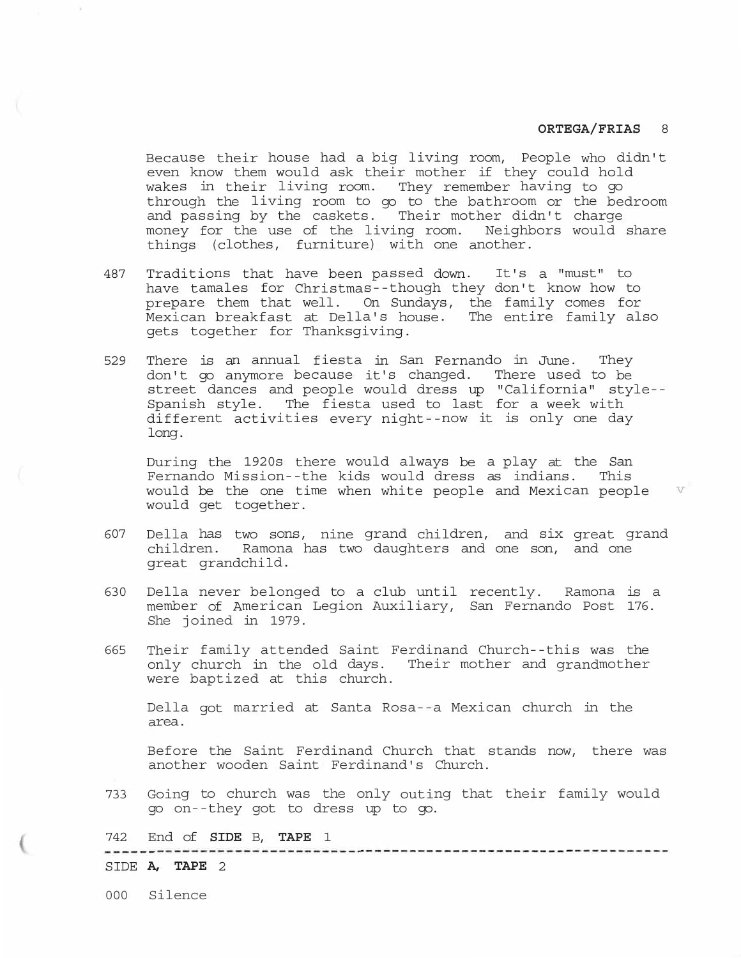Because their house had a big living room, People who didn't even know them would ask their mother if they could hold wakes in their living room. They remember having to go through the living room to go to the bathroom or the bedroom and passing by the caskets. Their mother didn't charge money for the use of the living room. Neighbors would share things (clothes, furniture) with one another.

- 487 Traditions that have been passed down. It's a "must" to have tamales for Christmas--though they don't know how to prepare them that well. On Sundays, the family comes for Mexican breakfast at Della's house. The entire family also gets together for Thanksgiving.
- 529 There is an annual fiesta in San Fernando in June. They don't go anymore because it's changed. There used to be street dances and people would dress up "California" style-- Spanish style. The fiesta used to last for a week with different activities every night--now it is only one day long.

During the 1920s there would always be a play at the San Fernando Mission--the kids would dress as indians. This would be the one time when white people and Mexican people  $V$ would get together.

- 607 Della has two sons, nine grand children, and six great grand children. Ramona has two daughters and one son, and one great grandchild.
- 630 Della never belonged to a club until recently. Ramona is a member of American Legion Auxiliary, San Fernando Post 176. She joined in 1979.
- 665 Their family attended Saint Ferdinand Church--this was the only church in the old days. Their mother and grandmother were baptized at this church.

Della got married at Santa Rosa--a Mexican church in the area.

Before the Saint Ferdinand Church that stands now, there was another wooden Saint Ferdinand's Church.

733 Going to church was the only outing that their family would go on--they got to dress up to go.

742 End of **SIDE** B, **TAPE** 1

SIDE **A, TAPE** 2

000 Silence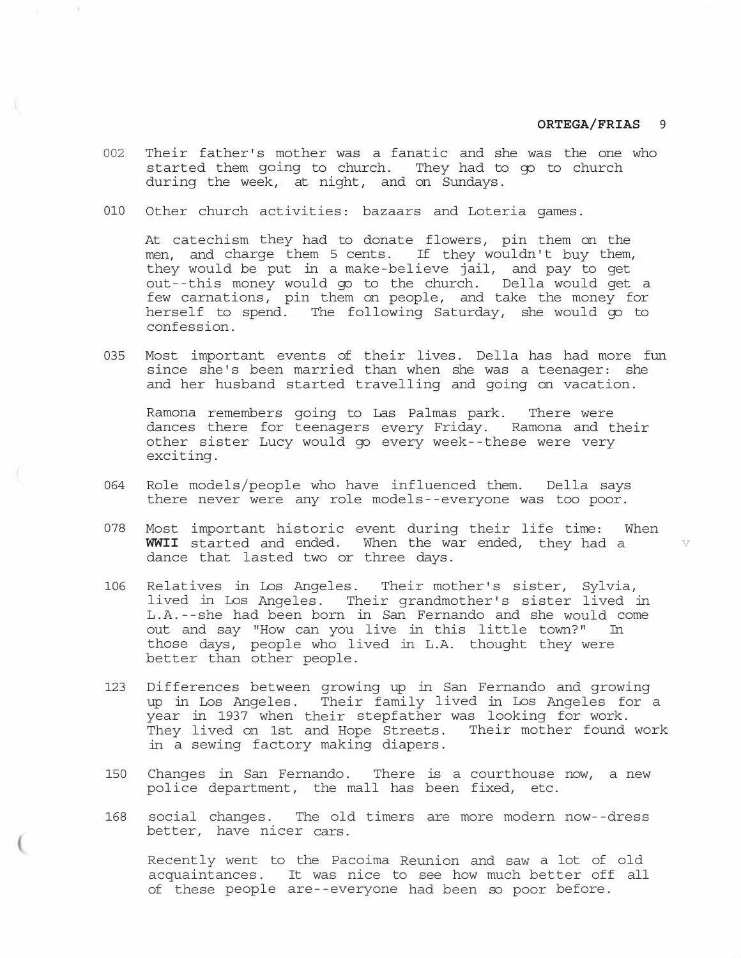v

- 002 Their father's mother was a fanatic and she was the one who started them going to church. They had to go to church during the week, at night, and on Sundays.
- 010 Other church activities: bazaars and Loteria games.

At catechism they had to donate flowers, pin them on the men, and charge them 5 cents. If they wouldn't buy them, they would be put in a make-believe jail, and pay to get out--this money would go to the church. Della would get a few carnations, pin them on people, and take the money for herself to spend. The following Saturday, she would go to confession.

035 Most important events of their lives. Della has had more fun since she's been married than when she was a teenager: she and her husband started travelling and going on vacation.

Ramona remembers going to Las Palmas park. There were dances there for teenagers every Friday. Ramona and their other sister Lucy would go every week--these were very exciting.

- 064 Role models/people who have influenced them. Della says there never were any role models--everyone was too poor.
- 078 Most important historic event during their life time: When **WWII** started and ended. When the war ended, they had a dance that lasted two or three days.
- 106 Relatives in Los Angeles. Their mother's sister, Sylvia, lived in Los Angeles. Their grandmother's sister lived in L.A.--she had been born in San Fernando and she would come out and say "How can you live in this little town?" In those days, people who lived in L.A. thought they were better than other people.
- 123 Differences between growing up in San Fernando and growing up in Los Angeles. Their family lived in Los Angeles for a year in 1937 when their stepfather was looking for work. They lived on 1st and Hope Streets. Their mother found work in a sewing factory making diapers.
- 150 Changes in San Fernando. There is a courthouse now, a new police department, the mall has been fixed, etc.
- 168 social changes. The old timers are more modern now--dress better, have nicer cars.

Recently went to the Pacoima Reunion and saw a lot of old acquaintances. It was nice to see how much better off all of these people are--everyone had been so poor before.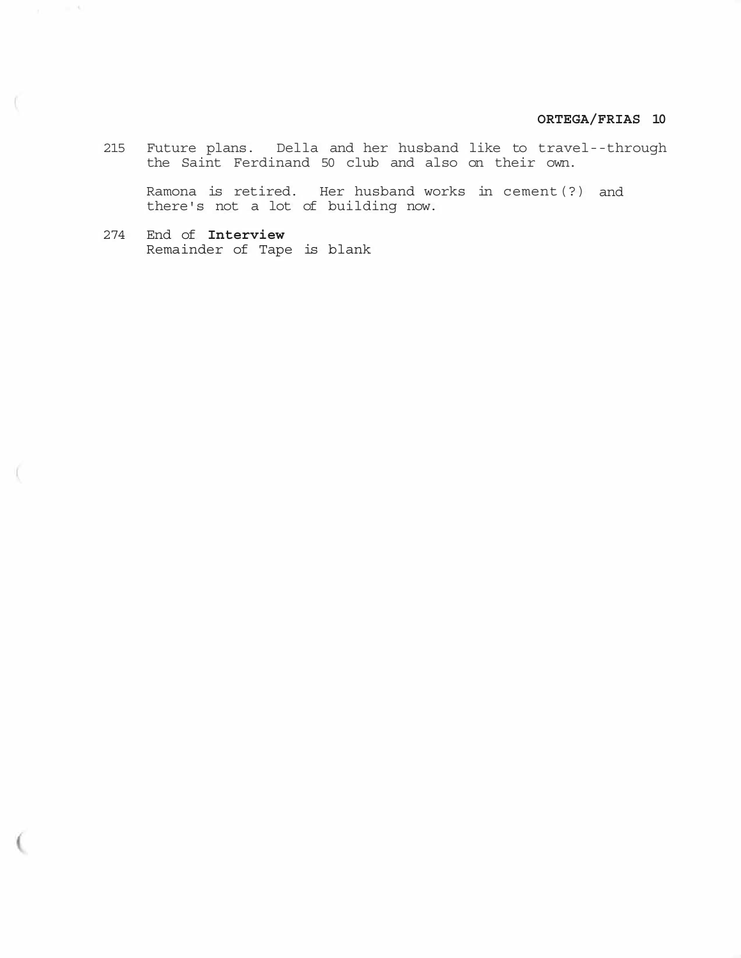215 Future plans. Della and her husband like to travel--through the Saint Ferdinand 50 club and also on their own.

Ramona is retired. Her husband works in cement(?) and there's not a lot of building now.

274 End of **Interview**  Remainder of Tape is blank

 $\sim$  16.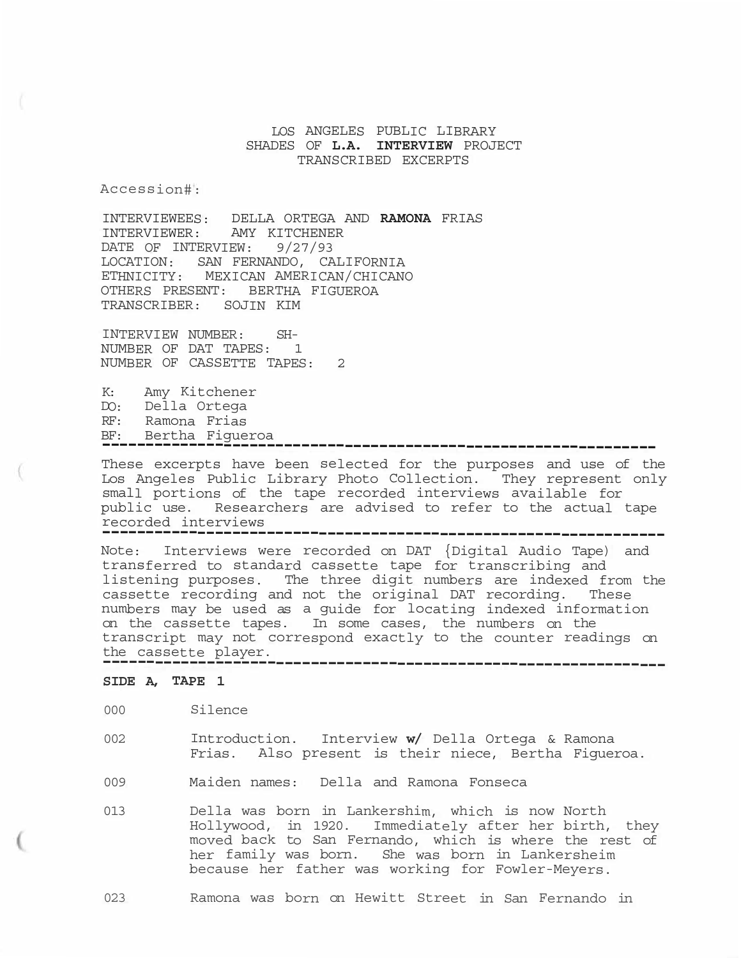# LOS ANGELES PUBLIC LIBRARY SHADES OF **L.A. INTERVIEW** PROJECT TRANSCRIBED EXCERPTS

Accession#:

INTERVIEWEES: DELLA ORTEGA AND **RAMONA** FRIAS INTERVIEWER: AMY KITCHENER DATE OF INTERVIEW: 9/27/93 LOCATION: SAN FERNANDO, CALIFORNIA ETHNICITY: MEXICAN AMERICAN/CHICANO OTHERS PRESENT: BERTHA FIGUEROA TRANSCRIBER: SOJIN KIM

INTERVIEW NUMBER: SH-NUMBER OF DAT TAPES: 1 NUMBER OF CASSETTE TAPES: 2

K: Amy Kitchener DO: Della Ortega RF: Ramona Frias BF: Bertha Figueroa

-----------------------------------------------------------------These excerpts have been selected for the purposes and use of the Los Angeles Public Library Photo Collection. They represent only small portions of the tape recorded interviews available for public use. Researchers are advised to refer to the actual tape recorded interviews

----------------------------------------------------------------

-----------------------------------------------------------------Note: Interviews were recorded on DAT {Digital Audio Tape) and transferred to standard cassette tape for transcribing and listening purposes. The three digit numbers are indexed from the cassette recording and not the original DAT recording. These numbers may be used as a guide for locating indexed information on the cassette tapes. In some cases, the numbers on the transcript may not correspond exactly to the counter readings on the cassette player.

# **SIDE A, TAPE 1**

000 Silence

- 002 Introduction. Interview **w/** Della Ortega & Ramona Frias. Also present is their niece, Bertha Figueroa.
- 009 Maiden names: Della and Ramona Fonseca
- 013 Della was born in Lankershim, which is now North Hollywood, in 1920. Immediately after her birth, they moved back to San Fernando, which is where the rest of her family was born. She was born in Lankersheim because her father was working for Fowler-Meyers.
- 023 Ramona was born on Hewitt Street in San Fernando in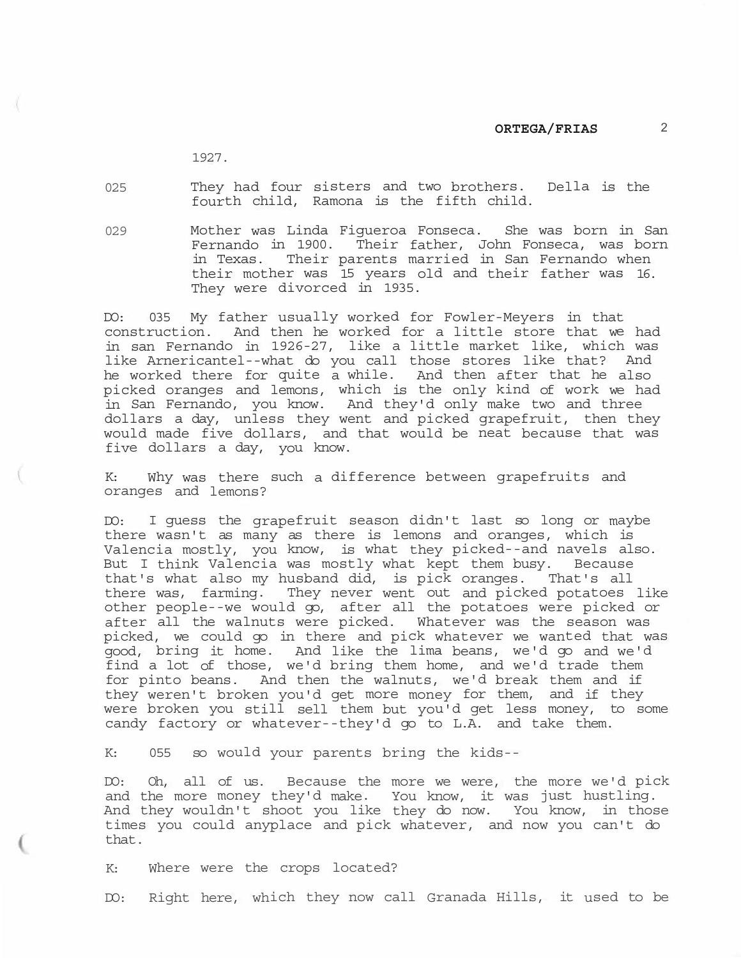1927.

025 They had four sisters and two brothers. Della is the fourth child, Ramona is the fifth child.

029 Mother was Linda Figueroa Fonseca. She was born in San Fernando in 1900. Their father, John Fonseca, was born in Texas. Their parents married in San Fernando when their mother was 15 years old and their father was 16. They were divorced in 1935.

DO: 035 My father usually worked for Fowler-Meyers in that construction. And then he worked for a little store that we had in san Fernando in 1926-27, like a little market like, which was like Arnericantel--what do you call those stores like that? And he worked there for quite a while. And then after that he also picked oranges and lemons, which is the only kind of work we had in San Fernando, you know. And they'd only make two and three dollars a day, unless they went and picked grapefruit, then they would made five dollars, and that would be neat because that was five dollars a day, you know.

K: Why was there such a difference between grapefruits and oranges and lemons?

DO: I guess the grapefruit season didn't last so long or maybe there wasn't as many as there is lemons and oranges, which is Valencia mostly, you know, is what they picked--and navels also. But I think Valencia was mostly what kept them busy. Because that's what also my husband did, is pick oranges. That's all there was, farming. They never went out and picked potatoes like other people--we would go, after all the potatoes were picked or after all the walnuts were picked. Whatever was the season was picked, we could go in there and pick whatever we wanted that was good, bring it home. And like the lima beans, we'd go and we'd find a lot of those, we'd bring them home, and we'd trade them for pinto beans. And then the walnuts, we'd break them and if they weren't broken you'd get more money for them, and if they were broken you still sell them but you'd get less money, to some candy factory or whatever--they'd go to L.A. and take them.

K: 055 so would your parents bring the kids--

DO: Oh, all of us. Because the more we were, the more we'd pick and the more money they'd make. You know, it was just hustling. And they wouldn't shoot you like they do now. You know, in those times you could anyplace and pick whatever, and now you can't do that.

K: Where were the crops located?

DO: Right here, which they now call Granada Hills, it used to be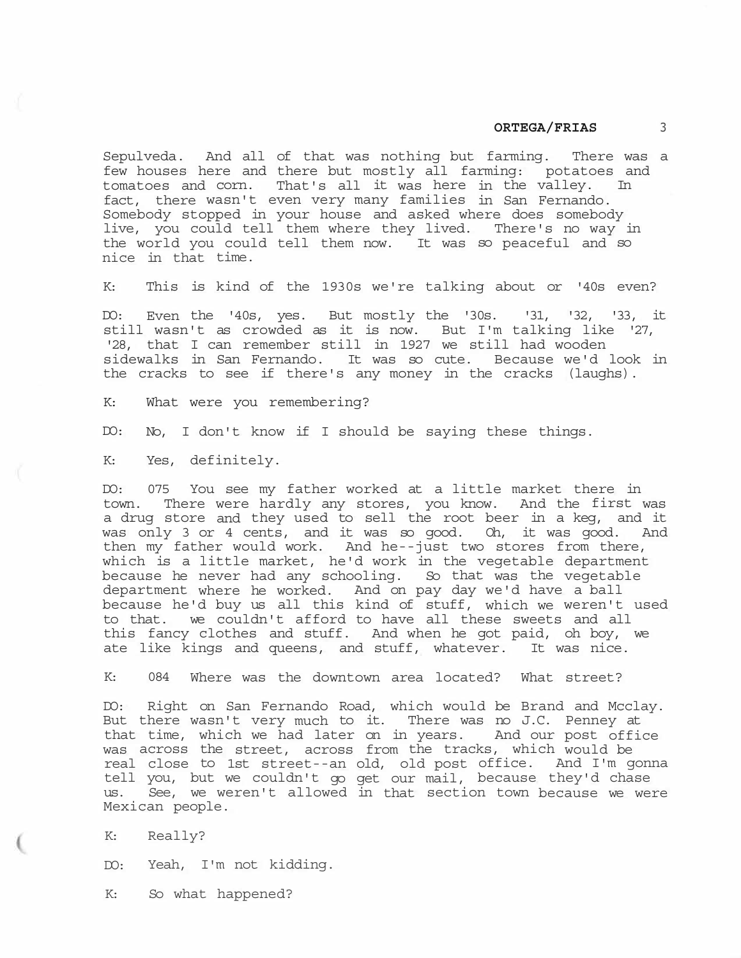Sepulveda. And all of that was nothing but farming. There was a few houses here and there but mostly all farming: potatoes and tomatoes and corn. That's all it was here in the valley. In fact, there wasn't even very many families in San Fernando. Somebody stopped in your house and asked where does somebody live, you could tell them where they lived. There's no way in the world you could tell them now. It was so peaceful and so nice in that time.

K: This is kind of the 1930s we're talking about or '40s even?

DO: Even the '40s, yes. But mostly the '30s. '31, '32, '33, it still wasn't as crowded as it is now. But I'm talking like '27, '28, that I can remember still in 1927 we still had wooden sidewalks in San Fernando. It was so cute. Because we'd look in the cracks to see if there's any money in the cracks (laughs).

K: What were you remembering?

DO: No, I don't know if I should be saying these things.

K: Yes, definitely.

DO: 075 You see my father worked at a little market there in town. There were hardly any stores, you know. And the first was a drug store and they used to sell the root beer in a keg, and it was only 3 or 4 cents, and it was so good. Oh, it was good. And then my father would work. And he--just two stores from there, which is a little market, he'd work in the vegetable department because he never had any schooling. So that was the vegetable department where he worked. And on pay day we'd have a ball because he'd buy us all this kind of stuff, which we weren't used to that. we couldn't afford to have all these sweets and all this fancy clothes and stuff. And when he got paid, oh boy, we ate like kings and queens, and stuff, whatever. It was nice.

K: 084 Where was the downtown area located? What street?

DO: Right on San Fernando Road, which would be Brand and Mcclay. But there wasn't very much to it. There was no J.C. Penney at that time, which we had later on in years. And our post office was across the street, across from the tracks, which would be real close to 1st street--an old, old post office. And I'm gonna tell you, but we couldn't go get our mail, because they'd chase us. See, we weren't allowed in that section town because we were Mexican people.

K: Really?

DO: Yeah, I'm not kidding.

K: So what happened?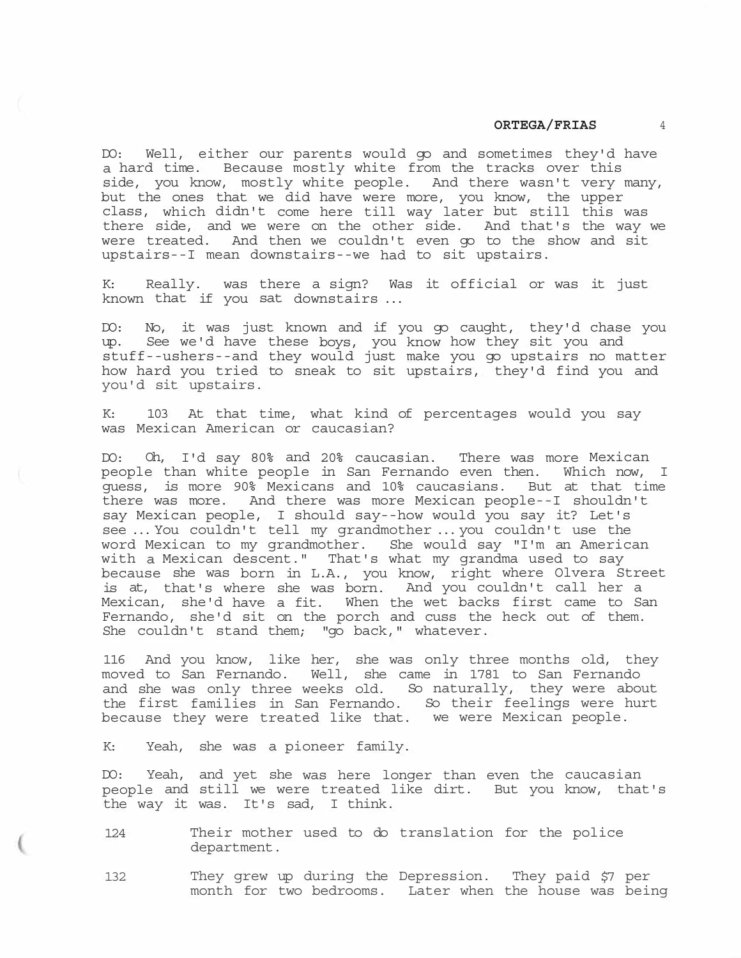DO: Well, either our parents would go and sometimes they'd have a hard time. Because mostly white from the tracks over this side, you know, mostly white people. And there wasn't very many, but the ones that we did have were more, you know, the upper class, which didn't come here till way later but still this was there side, and we were on the other side. And that's the way we were treated. And then we couldn't even go to the show and sit upstairs--I mean downstairs--we had to sit upstairs.

K: Really. was there a sign? Was it official or was it just known that if you sat downstairs ...

DO: No, it was just known and if you go caught, they'd chase you up. See we'd have these boys, you know how they sit you and stuff--ushers--and they would just make you go upstairs no matter how hard you tried to sneak to sit upstairs, they'd find you and you'd sit upstairs.

K: 103 At that time, what kind of percentages would you say was Mexican American or caucasian?

DO: Oh, I'd say 80% and 20% caucasian. There was more Mexican people than white people in San Fernando even then. Which now, I guess, is more 90% Mexicans and 10% caucasians. But at that time there was more. And there was more Mexican people--I shouldn't say Mexican people, I should say--how would you say it? Let's see ... You couldn't tell my grandmother ... you couldn't use the word Mexican to my grandmother. She would say "I'm an American with a Mexican descent." That's what my grandma used to say because she was born in L.A., you know, right where Olvera Street is at, that's where she was born. And you couldn't call her a Mexican, she'd have a fit. When the wet backs first came to San Fernando, she'd sit on the porch and cuss the heck out of them. She couldn't stand them; "go back," whatever.

116 And you know, like her, she was only three months old, they moved to San Fernando. Well, she came in 1781 to San Fernando and she was only three weeks old. So naturally, they were about the first families in San Fernando. So their feelings were hurt because they were treated like that. we were Mexican people.

K: Yeah, she was a pioneer family.

DO: Yeah, and yet she was here longer than even the caucasian people and still we were treated like dirt. But you know, that's the way it was. It's sad, I think.

124 Their mother used to do translation for the police department.

132 They grew up during the Depression. They paid \$7 per month for two bedrooms. Later when the house was being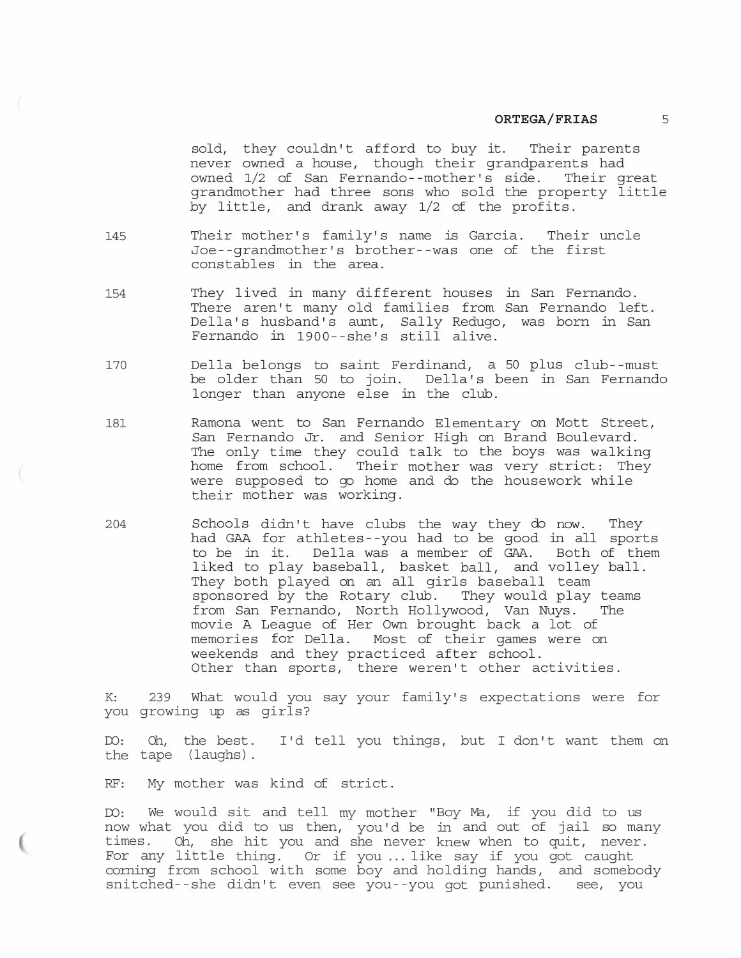sold, they couldn't afford to buy it. Their parents never owned a house, though their grandparents had owned 1/2 of San Fernando--mother's side. Their great grandmother had three sons who sold the property little by little, and drank away 1/2 of the profits.

- 145 Their mother's family's name is Garcia. Their uncle Joe--grandmother's brother--was one of the first constables in the area.
- 154 They lived in many different houses in San Fernando. There aren't many old families from San Fernando left. Della's husband's aunt, Sally Redugo, was born in San Fernando in 1900--she's still alive.
- 170 Della belongs to saint Ferdinand, a 50 plus club--must be older than 50 to join. Della's been in San Fernando longer than anyone else in the club.
- 181 Ramona went to San Fernando Elementary on Mott Street, San Fernando Jr. and Senior High on Brand Boulevard. The only time they could talk to the boys was walking home from school. Their mother was very strict: They were supposed to go home and do the housework while their mother was working.
- 204 Schools didn't have clubs the way they do now. They had GAA for athletes--you had to be good in all sports to be in it. Della was a member of GAA. Both of them liked to play baseball, basket ball, and volley ball. They both played on an all girls baseball team sponsored by the Rotary club. They would play teams from San Fernando, North Hollywood, Van Nuys. The movie A League of Her Own brought back a lot of memories for Della. Most of their games were on weekends and they practiced after school. Other than sports, there weren't other activities.

K: 239 What would you say your family's expectations were for you growing up as girls?

DO: Oh, the best. I'd tell you things, but I don't want them on the tape (laughs).

RF: My mother was kind of strict.

DO: We would sit and tell my mother "Boy Ma, if you did to us now what you did to us then, you'd be in and out of jail so many times. Oh, she hit you and she never knew when to quit, never. For any little thing. Or if you ... like say if you got caught corning from school with some boy and holding hands, and somebody snitched--she didn't even see you--you got punished. see, you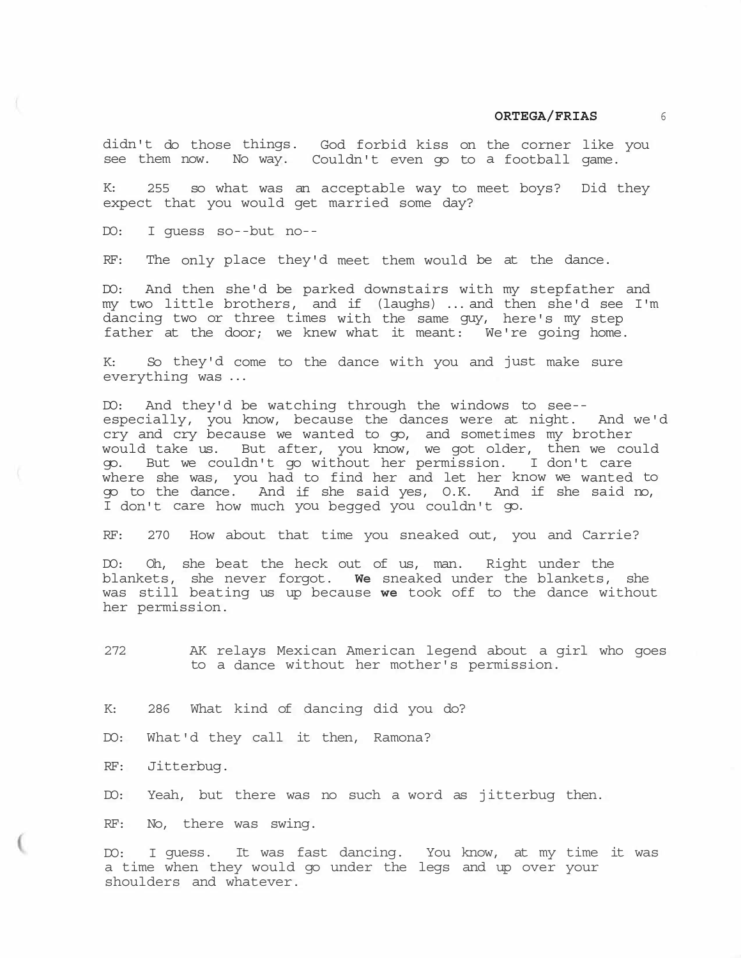didn't do those things. God forbid kiss on the corner like you see them now. No way. Couldn't even go to a football game.

K: 255 so what was an acceptable way to meet boys? Did they expect that you would get married some day?

DO: I guess so--but no--

RF: The only place they'd meet them would be at the dance.

DO: And then she'd be parked downstairs with my stepfather and my two little brothers, and if (laughs) ... and then she'd see I'm dancing two or three times with the same guy, here's my step father at the door; we knew what it meant: We're going home.

K: So they'd come to the dance with you and just make sure everything was ...

DO: And they'd be watching through the windows to see- especially, you know, because the dances were at night. And we'd cry and cry because we wanted to go, and sometimes my brother would take us. But after, you know, we got older, then we could go. But we couldn't go without her permission. I don't care where she was, you had to find her and let her know we wanted to go to the dance. And if she said yes, O.K. And if she said no, I don't care how much you begged you couldn't go.

RF: 270 How about that time you sneaked out, you and Carrie?

DO: Oh, she beat the heck out of us, man. Right under the blankets, she never forgot. **We** sneaked under the blankets, she was still beating us up because **we** took off to the dance without her permission.

272 AK relays Mexican American legend about a girl who goes to a dance without her mother's permission.

K: 286 What kind of dancing did you do?

DO: What'd they call it then, Ramona?

RF: Jitterbug.

DO: Yeah, but there was no such a word as jitterbug then.

RF: No, there was swing.

DO: I guess. It was fast dancing. You know, at my time it was a time when they would go under the legs and up over your shoulders and whatever.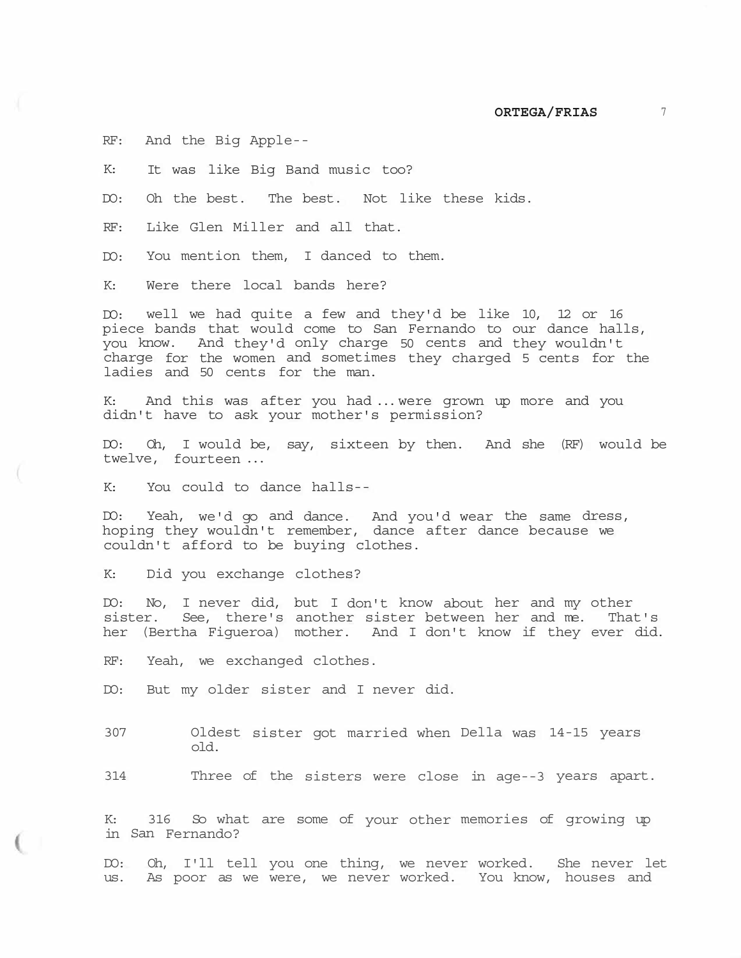RF: And the Big Apple--

K: It was like Big Band music too?

DO: Oh the best. The best. Not like these kids.

RF: Like Glen Miller and all that.

DO: You mention them, I danced to them.

K: Were there local bands here?

DO: well we had quite a few and they'd be like 10, 12 or 16 piece bands that would come to San Fernando to our dance halls, you know. And they'd only charge 50 cents and they wouldn't charge for the women and sometimes they charged 5 cents for the ladies and 50 cents for the man.

K: And this was after you had ... were grown up more and you didn't have to ask your mother's permission?

DO: Oh, I would be, say, sixteen by then. And she (RF) would be twelve, fourteen ...

K: You could to dance halls--

DO: Yeah, we'd go and dance. And you'd wear the same dress, hoping they wouldn't remember, dance after dance because we couldn't afford to be buying clothes.

K: Did you exchange clothes?

DO: No, I never did, but I don't know about her and my other sister. See, there's another sister between her and me. That's her (Bertha Figueroa) mother. And I don't know if they ever did.

RF: Yeah, we exchanged clothes.

DO: But my older sister and I never did.

307 Oldest sister got married when Della was 14-15 years old.

314 Three of the sisters were close in age--3 years apart.

K: 316 So what are some of your other memories of growing up in San Fernando?

DO: Oh, I'll tell you one thing, we never worked. She never let us. As poor as we were, we never worked. You know, houses and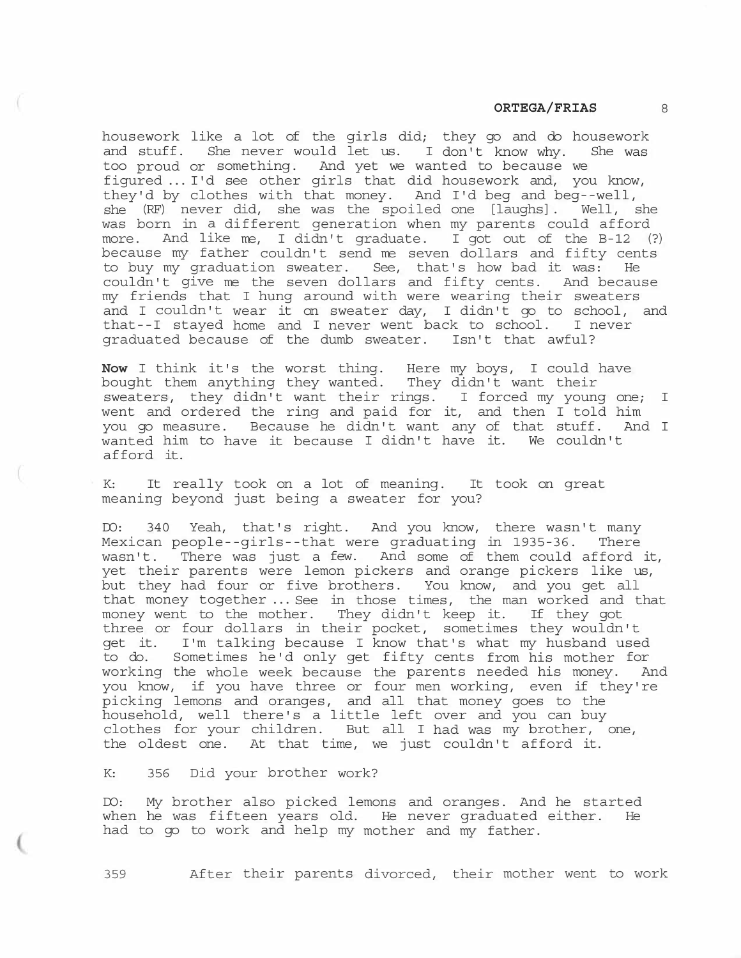housework like a lot of the girls did; they go and do housework and stuff. She never would let us. I don't know why. She was too proud or something. And yet we wanted to because we figured ... I'd see other girls that did housework and, you know, they'd by clothes with that money. And I'd beg and beg--well, she (RF) never did, she was the spoiled one [laughs]. Well, she was born in a different generation when my parents could afford more. And like me, I didn't graduate. I got out of the B-12 (?) because my father couldn't send me seven dollars and fifty cents to buy my graduation sweater. See, that's how bad it was: He couldn't give me the seven dollars and fifty cents. And because my friends that I hung around with were wearing their sweaters and I couldn't wear it on sweater day, I didn't go to school, and that--I stayed home and I never went back to school. I never graduated because of the dumb sweater. Isn't that awful?

**Now** I think it's the worst thing. Here my boys, I could have bought them anything they wanted. They didn't want their sweaters, they didn't want their rings. I forced my young one; I went and ordered the ring and paid for it, and then I told him you go measure. Because he didn't want any of that stuff. And I wanted him to have it because I didn't have it. We couldn't afford it.

K: It really took on a lot of meaning. It took on great meaning beyond just being a sweater for you?

DO: 340 Yeah, that's right. And you know, there wasn't many Mexican people--girls--that were graduating in 1935-36. There wasn't. There was just a few. And some of them could afford it, yet their parents were lemon pickers and orange pickers like us, but they had four or five brothers. You know, and you get all that money together ... See in those times, the man worked and that money went to the mother. They didn't keep it. If they got three or four dollars in their pocket, sometimes they wouldn't get it. I'm talking because I know that's what my husband used to do. Sometimes he'd only get fifty cents from his mother for working the whole week because the parents needed his money. And you know, if you have three or four men working, even if they're picking lemons and oranges, and all that money goes to the household, well there's a little left over and you can buy clothes for your children. But all I had was my brother, one, the oldest one. At that time, we just couldn't afford it.

K: 356 Did your brother work?

DO: My brother also picked lemons and oranges. And he started when he was fifteen years old. He never graduated either. He had to go to work and help my mother and my father.

359 After their parents divorced, their mother went to work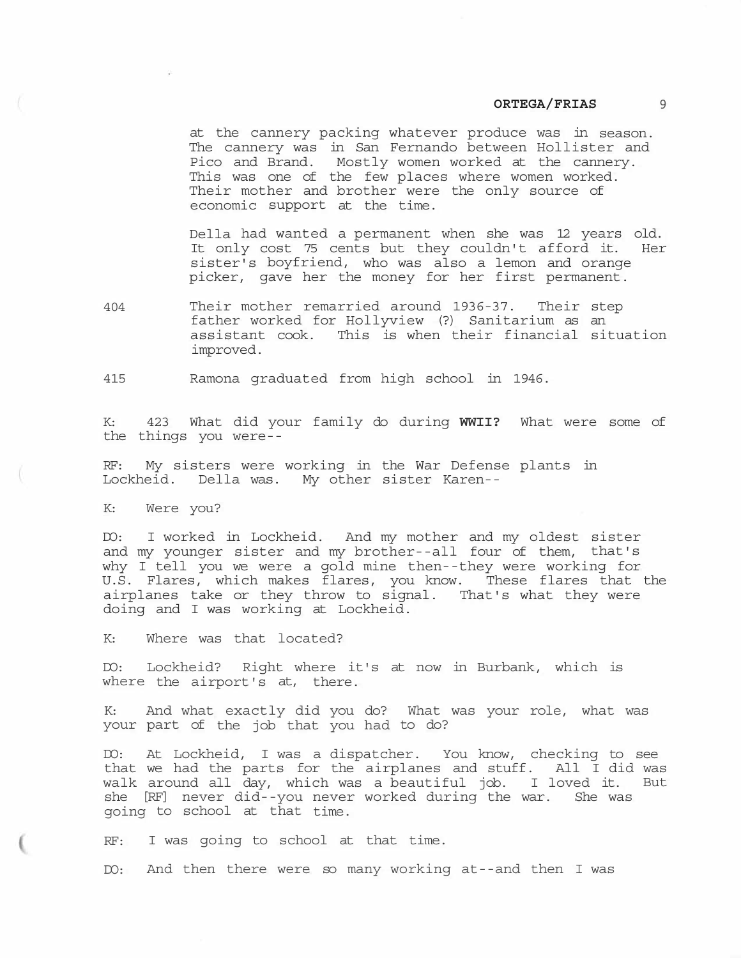at the cannery packing whatever produce was in season. The cannery was in San Fernando between Hollister and Pico and Brand. Mostly women worked at the cannery. This was one of the few places where women worked. Their mother and brother were the only source of economic support at the time.

Della had wanted a permanent when she was 12 years old. It only cost 75 cents but they couldn't afford it. Her sister's boyfriend, who was also a lemon and orange picker, gave her the money for her first permanent.

404 Their mother remarried around 1936-37. Their step father worked for Hollyview (?) Sanitarium as an assistant cook. This is when their financial situation improved.

415 Ramona graduated from high school in 1946.

K: 423 What did your family do during **WWII?** What were some of the things you were--

RF: My sisters were working in the War Defense plants in Lockheid. Della was. My other sister Karen--

K: Were you?

DO: I worked in Lockheid. And my mother and my oldest sister and my younger sister and my brother--all four of them, that's why I tell you we were a gold mine then--they were working for U.S. Flares, which makes flares, you know. These flares that the airplanes take or they throw to signal. That's what they were doing and I was working at Lockheid.

K: Where was that located?

DO: Lockheid? Right where it's at now in Burbank, which is where the airport's at, there.

K: And what exactly did you do? What was your role, what was your part of the job that you had to do?

DO: At Lockheid, I was a dispatcher. You know, checking to see that we had the parts for the airplanes and stuff. All I did was walk around all day, which was a beautiful job. I loved it. But she [RF] never did--you never worked during the war. She was going to school at that time.

RF: I was going to school at that time.

DO: And then there were so many working at--and then I was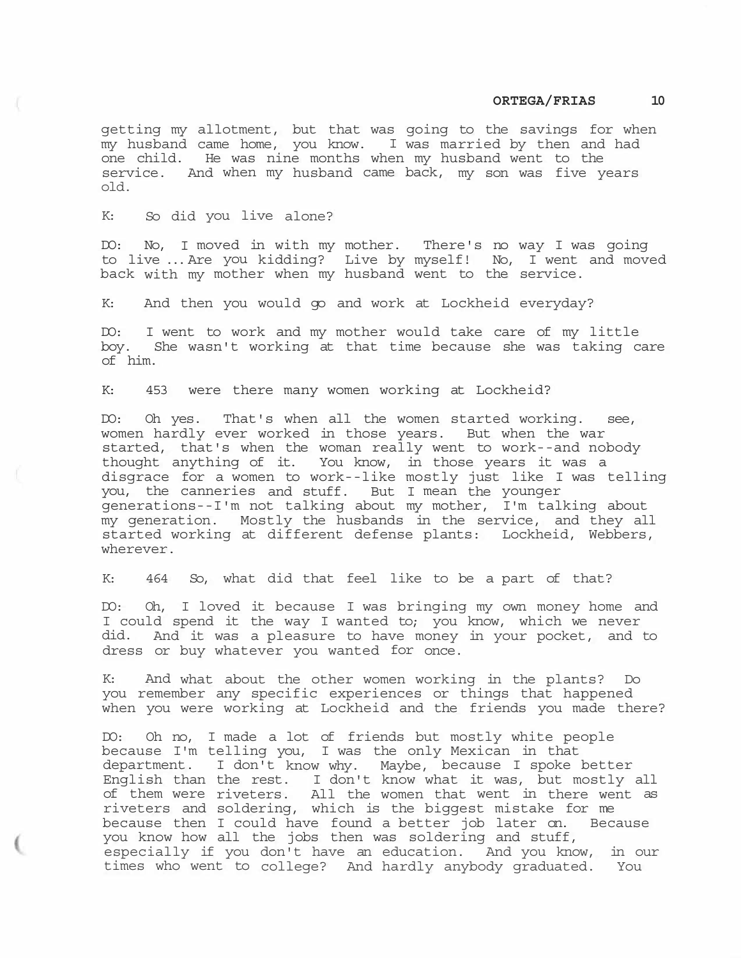getting my allotment, but that was going to the savings for when my husband came home, you know. I was married by then and had one child. He was nine months when my husband went to the service. And when my husband came back, my son was five years old.

K: So did you live alone?

DO: No, I moved in with my mother. There's no way I was going to live ... Are you kidding? Live by myself! No, I went and moved back with my mother when my husband went to the service.

K: And then you would go and work at Lockheid everyday?

DO: I went to work and my mother would take care of my little boy. She wasn't working at that time because she was taking care of him.

K: 453 were there many women working at Lockheid?

DO: Oh yes. That's when all the women started working. see, women hardly ever worked in those years. But when the war started, that's when the woman really went to work--and nobody thought anything of it. You know, in those years it was a disgrace for a women to work--like mostly just like I was telling you, the canneries and stuff. But I mean the younger generations--I'm not talking about my mother, I'm talking about my generation. Mostly the husbands in the service, and they all started working at different defense plants: Lockheid, Webbers, wherever.

K: 464 So, what did that feel like to be a part of that?

DO: Oh, I loved it because I was bringing my own money home and I could spend it the way I wanted to; you know, which we never did. And it was a pleasure to have money in your pocket, and to dress or buy whatever you wanted for once.

K: And what about the other women working in the plants? Do you remember any specific experiences or things that happened when you were working at Lockheid and the friends you made there?

DO: Oh no, I made a lot of friends but mostly white people because I'm telling you, I was the only Mexican in that department. I don't know why. Maybe, because I spoke better English than the rest. I don't know what it was, but mostly all of them were riveters. All the women that went in there went as riveters and soldering, which is the biggest mistake for me because then I could have found a better job later on. Because you know how all the jobs then was soldering and stuff, especially if you don't have an education. And you know, in our times who went to college? And hardly anybody graduated. You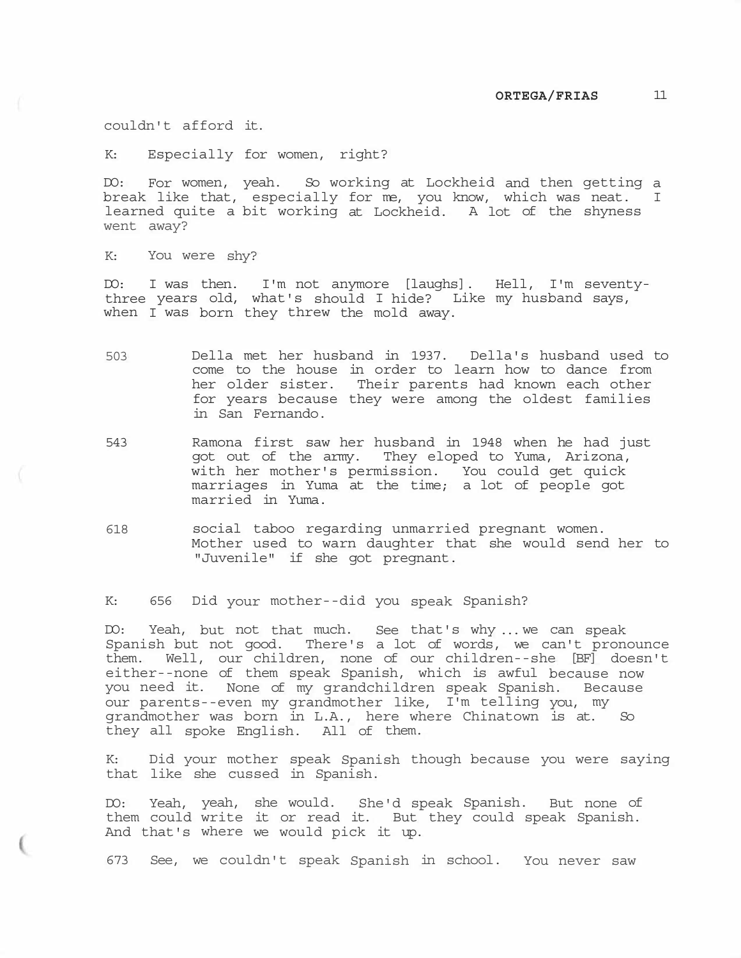couldn't afford it.

K: Especially for women, right?

DO: For women, yeah. So working at Lockheid and then getting a break like that, especially for me, you know, which was neat. I learned quite a bit working at Lockheid. A lot of the shyness went away?

K: You were shy?

DO: I was then. I'm not anymore [laughs]. Hell, I'm seventythree years old, what's should I hide? Like my husband says, when I was born they threw the mold away.

- 503 Della met her husband in 1937. Della's husband used to come to the house in order to learn how to dance from her older sister. Their parents had known each other for years because they were among the oldest families in San Fernando.
- 543 Ramona first saw her husband in 1948 when he had just got out of the army. They eloped to Yuma, Arizona, with her mother's permission. You could get quick marriages in Yuma at the time; a lot of people got married in Yuma.
- 618 social taboo regarding unmarried pregnant women. Mother used to warn daughter that she would send her to "Juvenile" if she got pregnant.

K: 656 Did your mother--did you speak Spanish?

DO: Yeah, but not that much. See that's why ... we can speak Spanish but not good. There's a lot of words, we can't pronounce them. Well, our children, none of our children--she [BF] doesn't either--none of them speak Spanish, which is awful because now you need it. None of my grandchildren speak Spanish. Because our parents--even my grandmother like, I'm telling you, my grandmother was born in L.A., here where Chinatown is at. So they all spoke English. All of them.

K: Did your mother speak Spanish though because you were saying that like she cussed in Spanish.

DO: Yeah, yeah, she would. She'd speak Spanish. But none of them could write it or read it. But they could speak Spanish. And that's where we would pick it up.

673 See, we couldn't speak Spanish in school. You never saw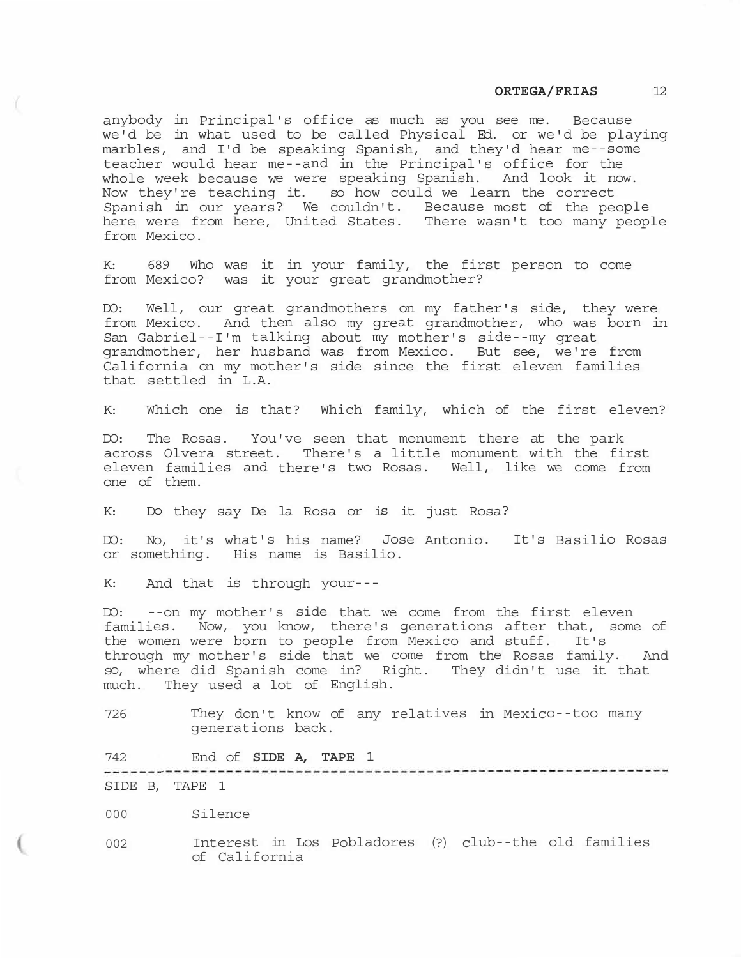anybody in Principal's office as much as you see me. Because we'd be in what used to be called Physical Ed. or we'd be playing marbles, and I'd be speaking Spanish, and they'd hear me--some teacher would hear me--and in the Principal's office for the whole week because we were speaking Spanish. And look it now. Now they're teaching it. so how could we learn the correct Spanish in our years? We couldn't. Because most of the people here were from here, United States. There wasn't too many people from Mexico.

K: 689 Who was it in your family, the first person to come from Mexico? was it your great grandmother?

DO: Well, our great grandmothers on my father's side, they were from Mexico. And then also my great grandmother, who was born in San Gabriel--I'm talking about my mother's side--my great grandmother, her husband was from Mexico. But see, we're from California on my mother's side since the first eleven families that settled in L.A.

K: Which one is that? Which family, which of the first eleven?

DO: The Rosas. You've seen that monument there at the park across Olvera street. There's a little monument with the first eleven families and there's two Rosas. Well, like we come from one of them.

K: Do they say De la Rosa or is it just Rosa?

DO: No, it's what's his name? Jose Antonio. It's Basilio Rosas or something. His name is Basilio.

K: And that is through your---

DO: --on my mother's side that we come from the first eleven families. Now, you know, there's generations after that, some of the women were born to people from Mexico and stuff. It's through my mother's side that we come from the Rosas family. And so, where did Spanish come in? Right. They didn't use it that much. They used a lot of English.

726 They don't know of any relatives in Mexico--too many generations back.

742 End of **SIDE A, TAPE** 1

-------------------------------

SIDE B, TAPE 1

000 Silence

002 Interest in Los Pobladores (?) club--the old families of California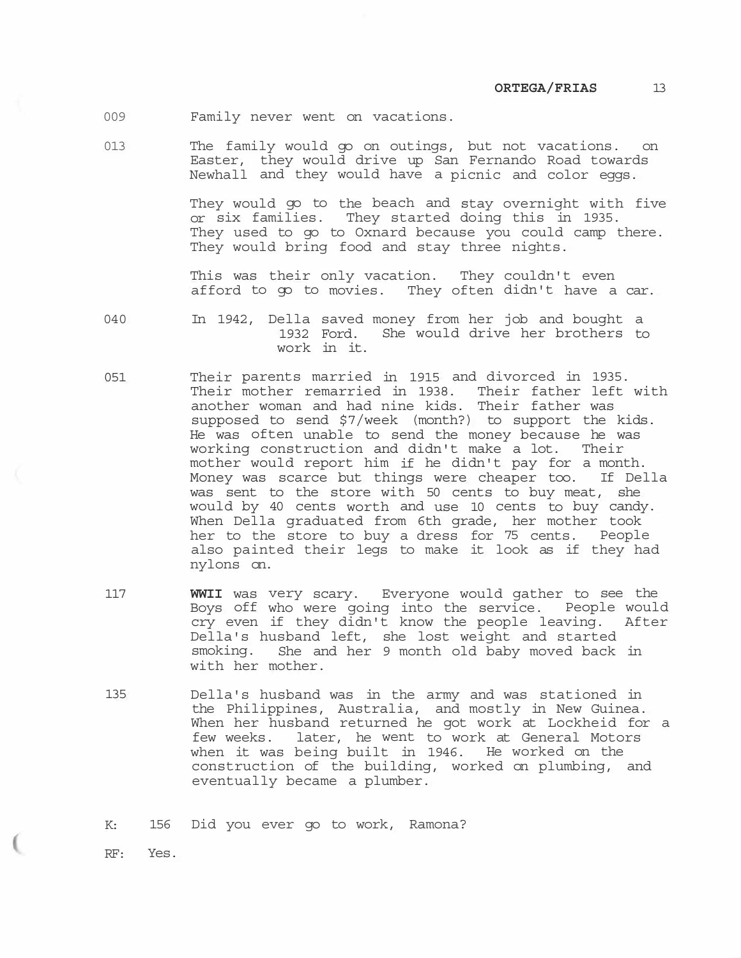- 009 Family never went on vacations.
- 013 The family would go on outings, but not vacations. on Easter, they would drive up San Fernando Road towards Newhall and they would have a picnic and color eggs.

They would go to the beach and stay overnight with five or six families. They started doing this in 1935. They used to go to Oxnard because you could camp there. They would bring food and stay three nights.

This was their only vacation. They couldn't even afford to go to movies. They often didn't have a car.

- 040 In 1942, Della saved money from her job and bought a 1932 Ford. She would drive her brothers to work in it.
- 051 Their parents married in 1915 and divorced in 1935. Their mother remarried in 1938. Their father left with another woman and had nine kids. Their father was supposed to send \$7/week (month?) to support the kids. He was often unable to send the money because he was working construction and didn't make a lot. Their mother would report him if he didn't pay for a month. Money was scarce but things were cheaper too. If Della was sent to the store with 50 cents to buy meat, she would by 40 cents worth and use 10 cents to buy candy. When Della graduated from 6th grade, her mother took her to the store to buy a dress for 75 cents. People also painted their legs to make it look as if they had nylons on.
- 117 **WWII** was very scary. Everyone would gather to see the Boys off who were going into the service. People would cry even if they didn't know the people leaving. After Della's husband left, she lost weight and started smoking. She and her 9 month old baby moved back in with her mother.
- 135 Della's husband was in the army and was stationed in the Philippines, Australia, and mostly in New Guinea. When her husband returned he got work at Lockheid for a few weeks. later, he went to work at General Motors when it was being built in 1946. He worked on the construction of the building, worked on plumbing, and eventually became a plumber.

K: 156 Did you ever go to work, Ramona?

RF: Yes.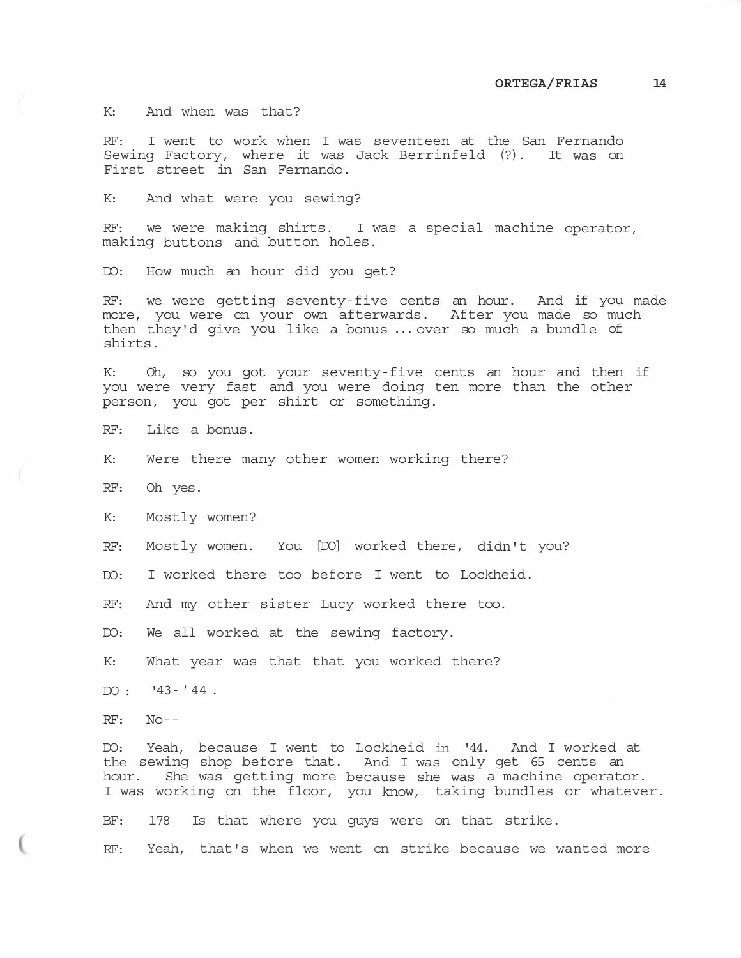K: And when was that?

RF: I went to work when I was seventeen at the San Fernando Sewing Factory, where it was Jack Berrinfeld (?). It was on First street in San Fernando.

K: And what were you sewing?

RF: we were making shirts. I was a special machine operator, making buttons and button holes.

DO: How much an hour did you get?

RF: we were getting seventy-five cents an hour. And if you made more, you were on your own afterwards. After you made so much then they'd give you like a bonus ... over so much a bundle of shirts.

K: Oh, so you got your seventy-five cents an hour and then if you were very fast and you were doing ten more than the other person, you got per shirt or something.

RF: Like a bonus.

K: Were there many other women working there?

RF: Oh yes.

K: Mostly women?

RF: Mostly women. You [DO] worked there, didn't you?

DO: I worked there too before I went to Lockheid.

RF: And my other sister Lucy worked there too.

DO: We all worked at the sewing factory.

K: What year was that that you worked there?

 $DO: '43-'44.$ 

RF: No--

DO: Yeah, because I went to Lockheid in '44. And I worked at the sewing shop before that. And I was only get 65 cents an hour. She was getting more because she was a machine operator. I was working on the floor, you know, taking bundles or whatever. BF: 178 Is that where you guys were on that strike.

RF: Yeah, that's when we went on strike because we wanted more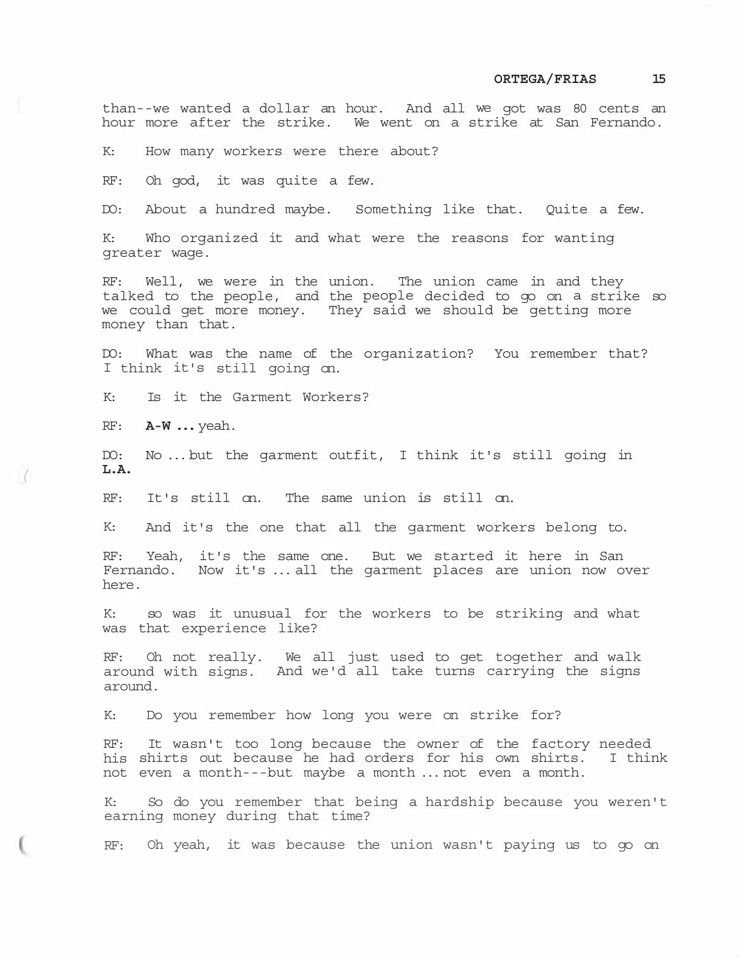than--we wanted a dollar an hour. And all we got was 80 cents an hour more after the strike. We went on a strike at San Fernando.

K: How many workers were there about?

RF: Oh god, it was quite a few.

DO: About a hundred maybe. Something like that. Quite a few.

K: Who organized it and what were the reasons for wanting greater wage.

RF: Well, we were in the union. The union came in and they talked to the people, and the people decided to go on a strike so we could get more money. They said we should be getting more money than that.

DO: What was the name of the organization? You remember that? I think it's still going on.

K: Is it the Garment Workers?

RF: **A-W ...** yeah.

DO: No ... but the garment outfit, I think it's still going in **L.A.** *(* 

RF: It's still on. The same union is still on.

K: And it's the one that all the garment workers belong to.

RF: Yeah, it's the same one. But we started it here in San Fernando. Now it's ... all the garment places are union now over here.

K: so was it unusual for the workers to be striking and what was that experience like?

RF: Oh not really. We all just used to get together and walk around with signs. And we'd all take turns carrying the signs around.

K: Do you remember how long you were on strike for?

RF: It wasn't too long because the owner of the factory needed his shirts out because he had orders for his own shirts. I think not even a month---but maybe a month ... not even a month.

K: So do you remember that being a hardship because you weren't earning money during that time?

RF: Oh yeah, it was because the union wasn't paying us to go on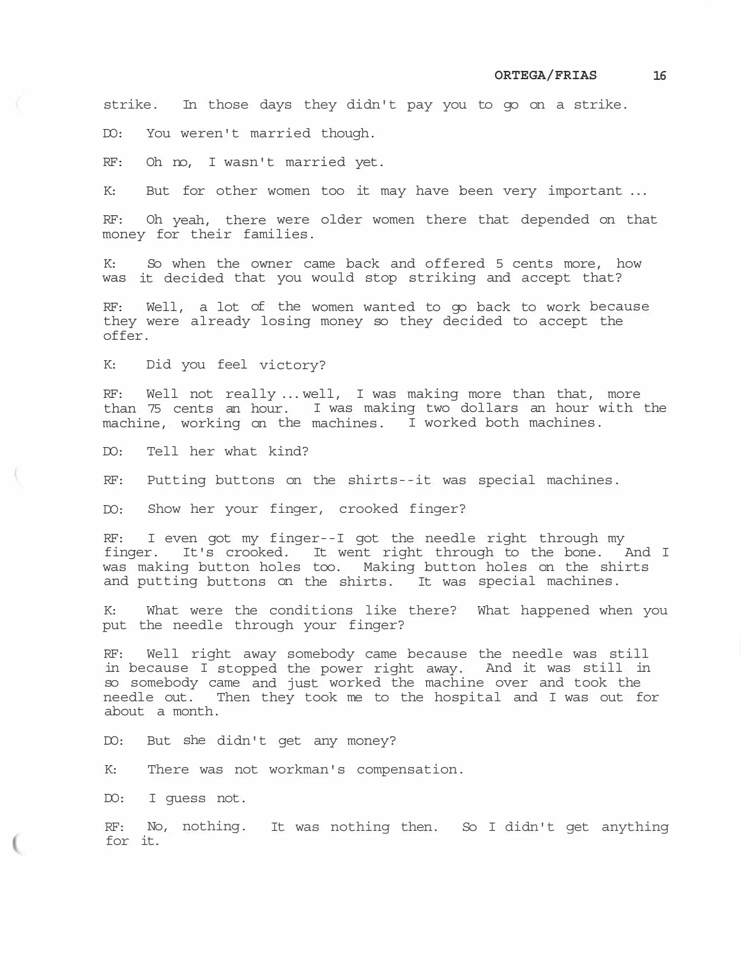strike. In those days they didn't pay you to go on a strike.

DO: You weren't married though.

RF: Oh no, I wasn't married yet.

K: But for other women too it may have been very important ...

RF: Oh yeah, there were older women there that depended on that money for their families.

K: So when the owner came back and offered 5 cents more, how was it decided that you would stop striking and accept that?

RF: Well, a lot of the women wanted to go back to work because they were already losing money so they decided to accept the offer.

K: Did you feel victory?

RF: Well not really ... well, I was making more than that, more than 75 cents an hour. I was making two dollars an hour with the machine, working on the machines. I worked both machines.

DO: Tell her what kind?

RF: Putting buttons on the shirts--it was special machines.

DO: Show her your finger, crooked finger?

RF: I even got my finger--I got the needle right through my finger. It's crooked. It went right through to the bone. And I was making button holes too. Making button holes on the shirts and putting buttons on the shirts. It was special machines.

K: What were the conditions like there? What happened when you put the needle through your finger?

RF: Well right away somebody came because the needle was still in because I stopped the power right away. And it was still in so somebody came and just worked the machine over and took the needle out. Then they took me to the hospital and I was out for about a month.

DO: But she didn't get any money?

K: There was not workman's compensation.

DO: I guess not.

RF: No, nothing. It was nothing then. So I didn't get anything for it.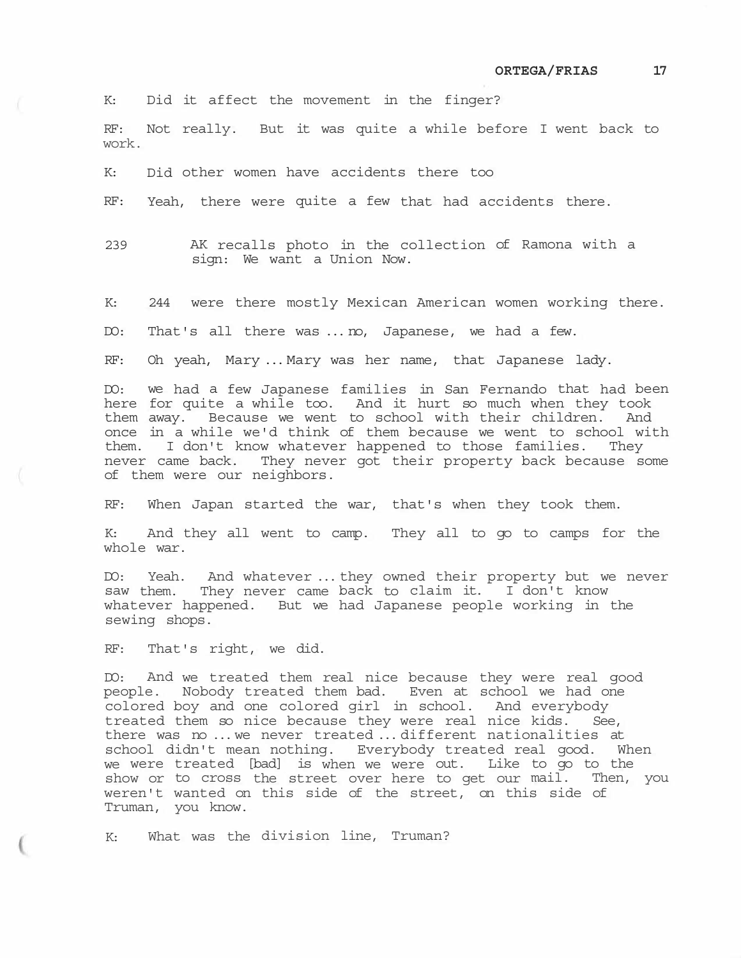K: Did it affect the movement in the finger?

RF: Not really. But it was quite a while before I went back to work.

K: Did other women have accidents there too

RF: Yeah, there were quite a few that had accidents there.

- 239 AK recalls photo in the collection of Ramona with a sign: We want a Union Now.
- K: 244 were there mostly Mexican American women working there.

DO: That's all there was ... no, Japanese, we had a few.

RF: Oh yeah, Mary ... Mary was her name, that Japanese lady.

DO: we had a few Japanese families in San Fernando that had been here for quite a while too. And it hurt so much when they took them away. Because we went to school with their children. And once in a while we'd think of them because we went to school with them. I don't know whatever happened to those families. They never came back. They never got their property back because some of them were our neighbors.

RF: When Japan started the war, that's when they took them.

K: And they all went to camp. They all to go to camps for the whole war.

DO: Yeah. And whatever ... they owned their property but we never saw them. They never came back to claim it. I don't know whatever happened. But we had Japanese people working in the sewing shops.

RF: That's right, we did.

DO: And we treated them real nice because they were real good people. Nobody treated them bad. Even at school we had one colored boy and one colored girl in school. And everybody treated them so nice because they were real nice kids. See, there was no ... we never treated ... different nationalities at school didn't mean nothing. Everybody treated real good. When we were treated [bad] is when we were out. Like to go to the show or to cross the street over here to get our mail. Then, you weren't wanted on this side of the street, on this side of Truman, you know.

K: What was the division line, Truman?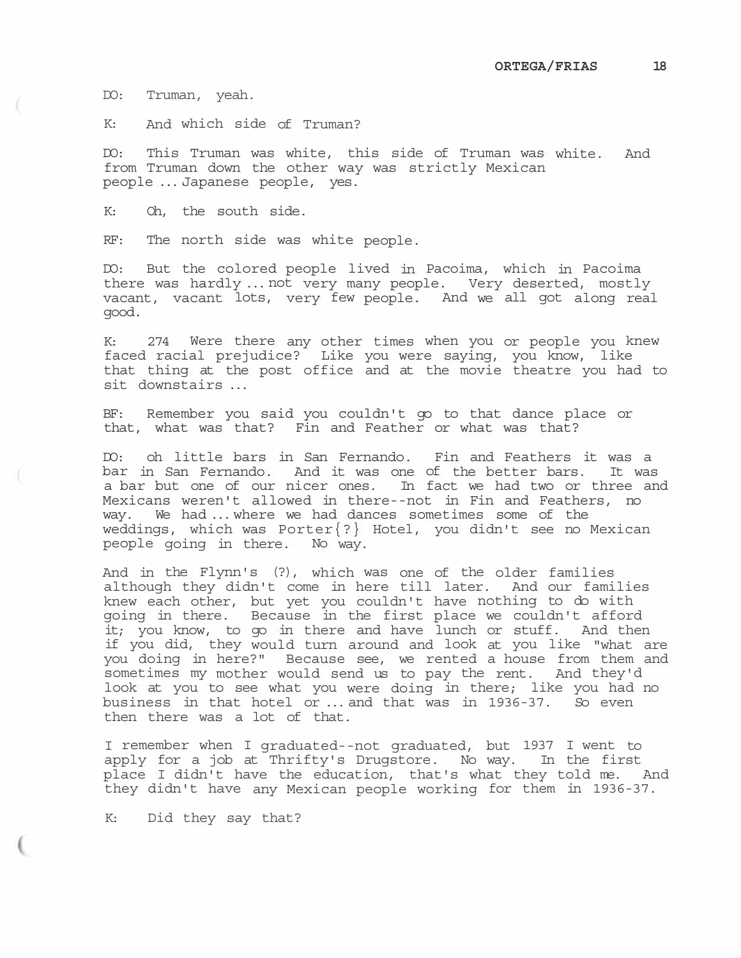DO: Truman, yeah.

K: And which side of Truman?

DO: This Truman was white, this side of Truman was white. And from Truman down the other way was strictly Mexican people ... Japanese people, yes.

K: Oh, the south side.

RF: The north side was white people.

DO: But the colored people lived in Pacoima, which in Pacoima there was hardly ... not very many people. Very deserted, mostly vacant, vacant lots, very few people. And we all got along real good.

K: 274 Were there any other times when you or people you knew faced racial prejudice? Like you were saying, you know, like that thing at the post office and at the movie theatre you had to sit downstairs ...

BF: Remember you said you couldn't go to that dance place or that, what was that? Fin and Feather or what was that?

DO: oh little bars in San Fernando. Fin and Feathers it was a bar in San Fernando. And it was one of the better bars. It was a bar but one of our nicer ones. In fact we had two or three and Mexicans weren't allowed in there--not in Fin and Feathers, no way. We had ... where we had dances sometimes some of the weddings, which was Porter{?} Hotel, you didn't see no Mexican people going in there. No way.

And in the Flynn's (?), which was one of the older families although they didn't come in here till later. And our families knew each other, but yet you couldn't have nothing to do with going in there. Because in the first place we couldn't afford it; you know, to go in there and have lunch or stuff. And then if you did, they would turn around and look at you like "what are you doing in here?" Because see, we rented a house from them and sometimes my mother would send us to pay the rent. And they'd look at you to see what you were doing in there; like you had no business in that hotel or ... and that was in 1936-37. So even then there was a lot of that.

I remember when I graduated--not graduated, but 1937 I went to apply for a job at Thrifty's Drugstore. No way. In the first place I didn't have the education, that's what they told me. And they didn't have any Mexican people working for them in 1936-37.

K: Did they say that?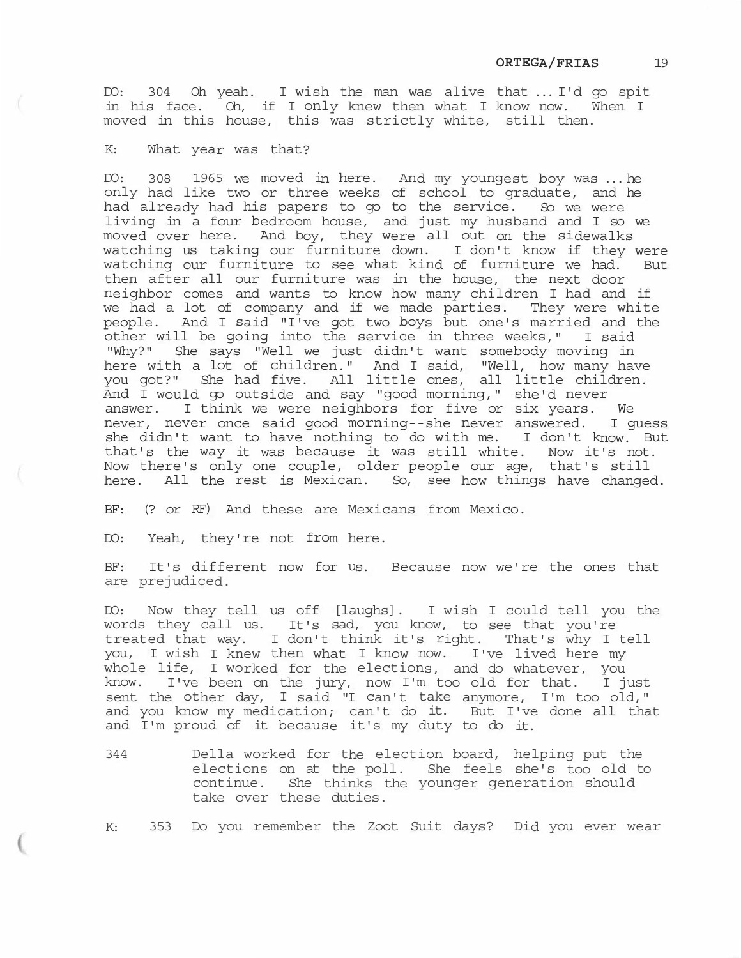DO: 304 Oh yeah. I wish the man was alive that ... I'd go spit in his face. Oh, if I only knew then what I know now. When I moved in this house, this was strictly white, still then.

K: What year was that?

DO: 308 1965 we moved in here. And my youngest boy was ... he only had like two or three weeks of school to graduate, and he had already had his papers to go to the service. So we were living in a four bedroom house, and just my husband and I so we moved over here. And boy, they were all out on the sidewalks watching us taking our furniture down. I don't know if they were watching our furniture to see what kind of furniture we had. But then after all our furniture was in the house, the next door neighbor comes and wants to know how many children I had and if we had a lot of company and if we made parties. They were white people. And I said "I've got two boys but one's married and the other will be going into the service in three weeks," I said "Why?" She says "Well we just didn't want somebody moving in here with a lot of children." And I said, "Well, how many have you got?" She had five. All little ones, all little children. And I would go outside and say "good morning," she'd never answer. I think we were neighbors for five or six years. We never, never once said good morning--she never answered. I guess she didn't want to have nothing to do with me. I don't know. But that's the way it was because it was still white. Now it's not. Now there's only one couple, older people our age, that's still here. All the rest is Mexican. So, see how things have changed.

BF: (? or RF) And these are Mexicans from Mexico.

DO: Yeah, they're not from here.

BF: It's different now for us. Because now we're the ones that are prejudiced.

DO: Now they tell us off [laughs]. I wish I could tell you the words they call us. It's sad, you know, to see that you're treated that way. I don't think it's right. That's why I tell you, I wish I knew then what I know now. I've lived here my whole life, I worked for the elections, and do whatever, you know. I've been on the jury, now I'm too old for that. I just sent the other day, I said "I can't take anymore, I'm too old," and you know my medication; can't do it. But I've done all that and I'm proud of it because it's my duty to do it.

344 Della worked for the election board, helping put the elections on at the poll. She feels she's too old to continue. She thinks the younger generation should take over these duties.

K: 353 Do you remember the Zoot Suit days? Did you ever wear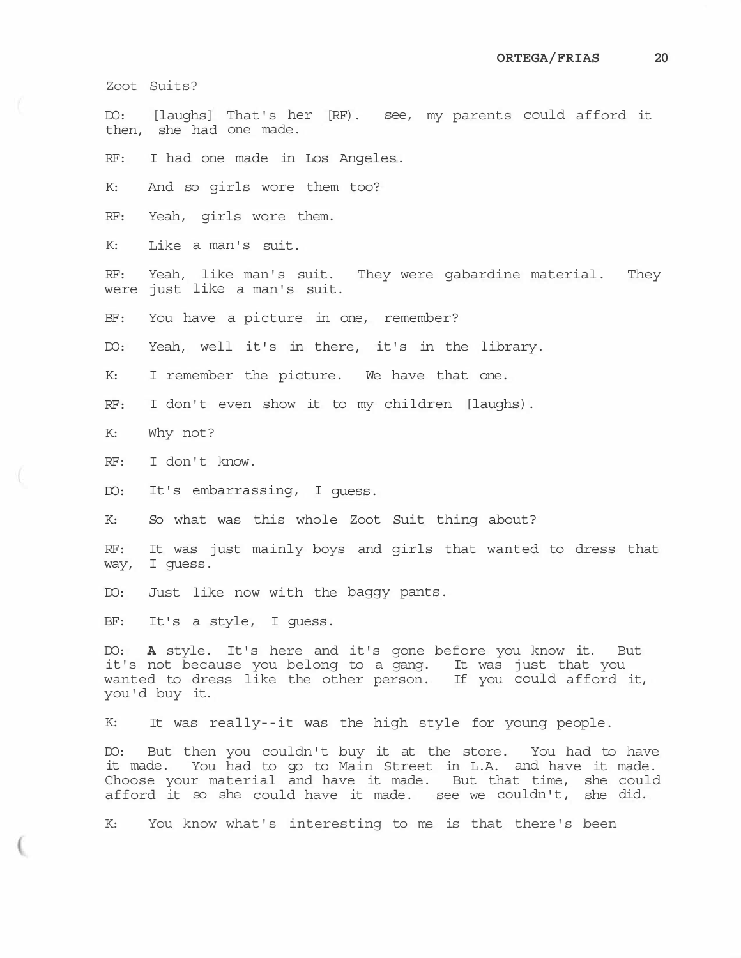Zoot Suits?

DO: [laughs] That's her [RF). see, my parents could afford it then, she had one made.

RF: I had one made in Los Angeles.

K: And so girls wore them too?

RF: Yeah, girls wore them.

K: Like a man's suit.

RF: Yeah, like man's suit. They were gabardine material. They were just like a man's suit.

BF: You have a picture in one, remember?

DO: Yeah, well it's in there, it's in the library.

K: I remember the picture. We have that one.

RF: I don't even show it to my children [laughs).

K: Why not?

RF: I don't know.

DO: It's embarrassing, I guess.

K: So what was this whole Zoot Suit thing about?

RF: It was just mainly boys and girls that wanted to dress that way, I guess.

DO: Just like now with the baggy pants.

BF: It's a style, I guess.

DO: **A** style. It's here and it's gone before you know it. But it's not because you belong to a gang. It was just that you wanted to dress like the other person. If you could afford it, you'd buy it.

K: It was really--it was the high style for young people.

DO: But then you couldn't buy it at the store. You had to have it made. You had to go to Main Street in L.A. and have it made. Choose your material and have it made. But that time, she could afford it so she could have it made. see we couldn't, she did.

K: You know what's interesting to me is that there's been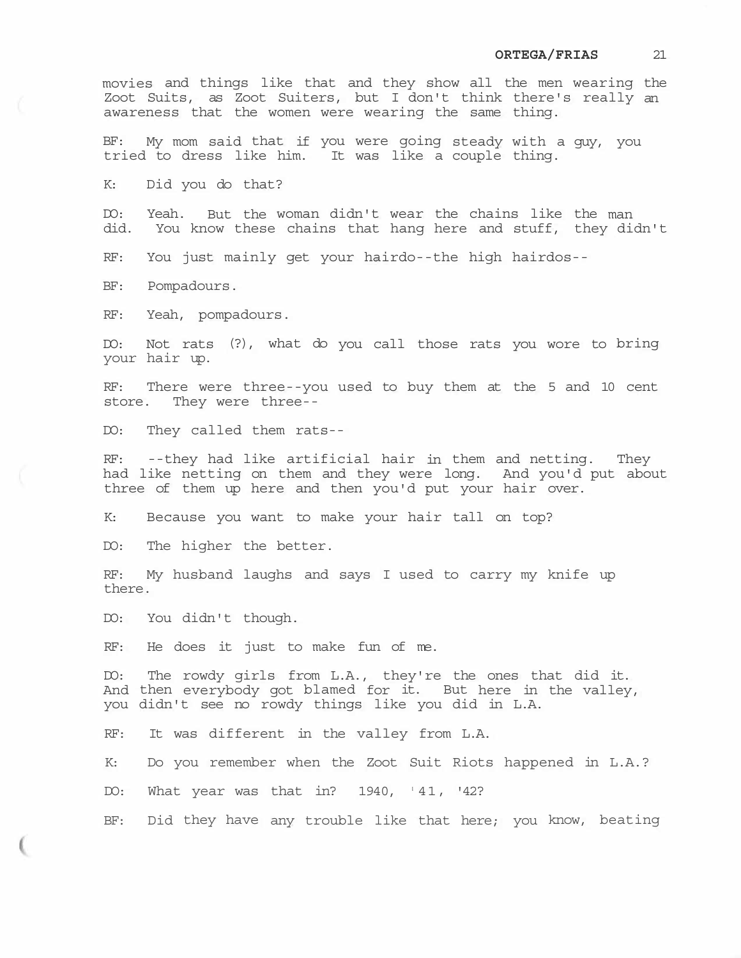movies and things like that and they show all the men wearing the Zoot Suits, as Zoot Suiters, but I don't think there's really an awareness that the women were wearing the same thing.

BF: My mom said that if you were going steady with a guy, you tried to dress like him. It was like a couple thing.

K: Did you do that?

DO: Yeah. But the woman didn't wear the chains like the man<br>did. You know these chains that hang here and stuff, they die You know these chains that hang here and stuff, they didn't

RF: You just mainly get your hairdo--the high hairdos--

BF: Pompadours.

RF: Yeah, pompadours.

DO: Not rats (?), what do you call those rats you wore to bring your hair up.

RF: There were three--you used to buy them at the 5 and 10 cent store. They were three--

DO: They called them rats--

RF: --they had like artificial hair in them and netting. They had like netting on them and they were long. And you'd put about three of them up here and then you'd put your hair over.

K: Because you want to make your hair tall on top?

DO: The higher the better.

RF: My husband laughs and says I used to carry my knife up there.

DO: You didn't though.

RF: He does it just to make fun of me.

DO: The rowdy girls from L.A., they're the ones that did it. And then everybody got blamed for it. But here in the valley, you didn't see no rowdy things like you did in L.A.

RF: It was different in the valley from L.A.

K: Do you remember when the Zoot Suit Riots happened in L.A.?

DO: What year was that in? 1940, '41, '42?

BF: Did they have any trouble like that here; you know, beating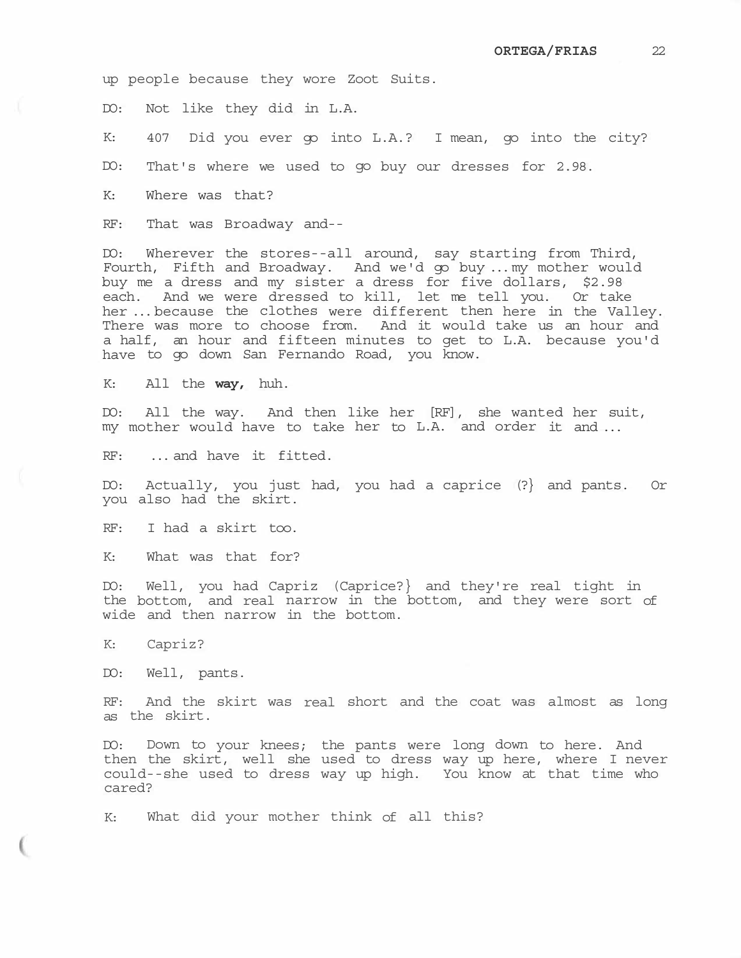up people because they wore Zoot Suits.

DO: Not like they did in L.A.

K: 407 Did you ever go into L.A.? I mean, go into the city?

DO: That's where we used to go buy our dresses for 2.98.

K: Where was that?

RF: That was Broadway and--

DO: Wherever the stores--all around, say starting from Third, Fourth, Fifth and Broadway. And we'd go buy ... my mother would buy me a dress and my sister a dress for five dollars, \$2.98 each. And we were dressed to kill, let me tell you. Or take her ... because the clothes were different then here in the Valley. There was more to choose from. And it would take us an hour and a half, an hour and fifteen minutes to get to L.A. because you'd have to go down San Fernando Road, you know.

K: All the **way,** huh.

DO: All the way. And then like her [RF], she wanted her suit, my mother would have to take her to L.A. and order it and ...

RF: ... and have it fitted.

DO: Actually, you just had, you had a caprice (?} and pants. Or you also had the skirt.

RF: I had a skirt too.

K: What was that for?

DO: Well, you had Capriz (Caprice?} and they're real tight in the bottom, and real narrow in the bottom, and they were sort of wide and then narrow in the bottom.

K: Capriz?

DO: Well, pants.

RF: And the skirt was real short and the coat was almost as long as the skirt.

DO: Down to your knees; the pants were long down to here. And then the skirt, well she used to dress way up here, where I never could--she used to dress way up high. You know at that time who cared?

K: What did your mother think of all this?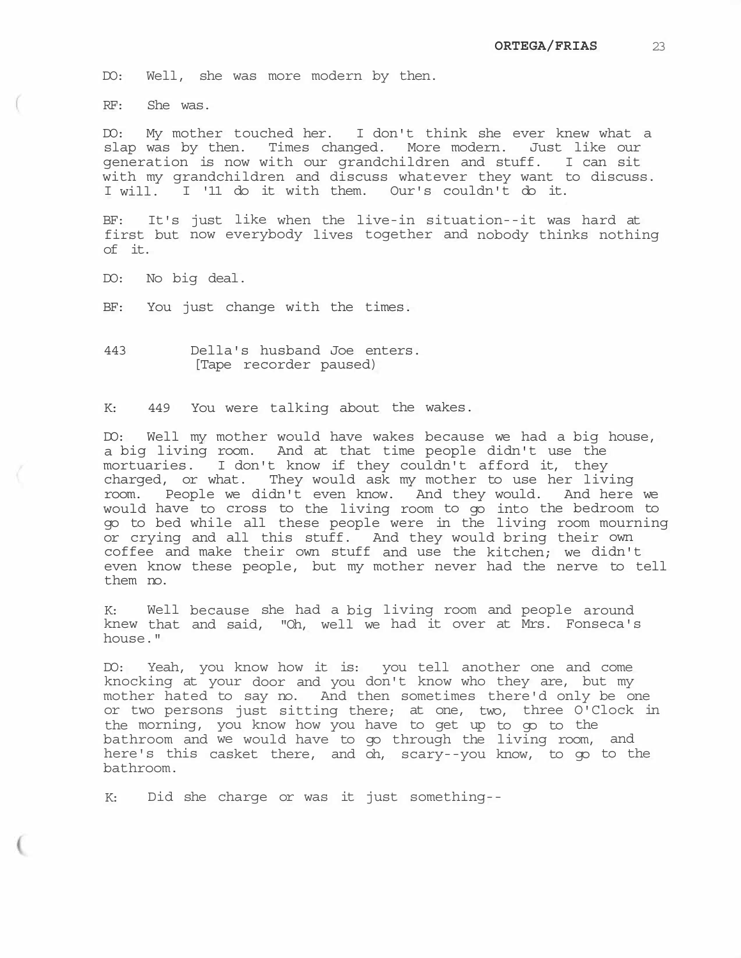DO: Well, she was more modern by then.

RF: She was.

DO: My mother touched her. I don't think she ever knew what a slap was by then. Times changed. More modern. Just like our generation is now with our grandchildren and stuff. I can sit with my grandchildren and discuss whatever they want to discuss. I will. I '11 do it with them. Our's couldn't do it.

BF: It's just like when the live-in situation--it was hard at first but now everybody lives together and nobody thinks nothing of it.

DO: No big deal.

BF: You just change with the times.

443 Della's husband Joe enters. [Tape recorder paused)

K: 449 You were talking about the wakes.

DO: Well my mother would have wakes because we had a big house, a big living room. And at that time people didn't use the mortuaries. I don't know if they couldn't afford it, they charged, or what. They would ask my mother to use her living room. People we didn't even know. And they would. And here we would have to cross to the living room to go into the bedroom to go to bed while all these people were in the living room mourning or crying and all this stuff. And they would bring their own coffee and make their own stuff and use the kitchen; we didn't even know these people, but my mother never had the nerve to tell them no.

K: Well because she had a big living room and people around knew that and said, "Oh, well we had it over at Mrs. Fonseca's house."

DO: Yeah, you know how it is: you tell another one and come knocking at your door and you don't know who they are, but my mother hated to say no. And then sometimes there'd only be one or two persons just sitting there; at one, two, three O'Clock in the morning, you know how you have to get up to go to the bathroom and we would have to go through the living room, and here's this casket there, and oh, scary--you know, to go to the bathroom.

K: Did she charge or was it just something--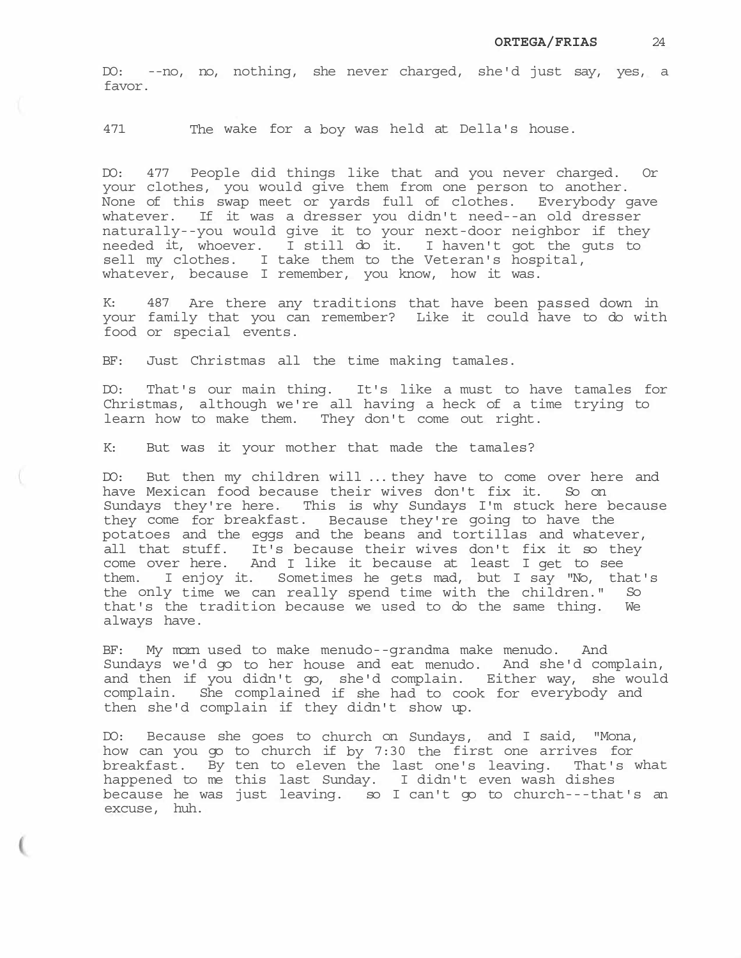DO: --no, no, nothing, she never charged, she'd just say, yes, a favor.

471 The wake for a boy was held at Della's house.

DO: 477 People did things like that and you never charged. Or your clothes, you would give them from one person to another. None of this swap meet or yards full of clothes. Everybody gave whatever. If it was a dresser you didn't need--an old dresser naturally--you would give it to your next-door neighbor if they needed it, whoever. I still do it. I haven't got the guts to sell my clothes. I take them to the Veteran's hospital, whatever, because I remember, you know, how it was.

487 Are there any traditions that have been passed down in your family that you can remember? Like it could have to do with food or special events.

BF: Just Christmas all the time making tamales.

DO: That's our main thing. It's like a must to have tamales for Christmas, although we're all having a heck of a time trying to learn how to make them. They don't come out right.

K: But was it your mother that made the tamales?

DO: But then my children will ... they have to come over here and have Mexican food because their wives don't fix it. So on Sundays they're here. This is why Sundays I'm stuck here because they come for breakfast. Because they're going to have the potatoes and the eggs and the beans and tortillas and whatever, all that stuff. It's because their wives don't fix it so they come over here. And I like it because at least I get to see them. I enjoy it. Sometimes he gets mad, but I say "No, that's the only time we can really spend time with the children." So that's the tradition because we used to do the same thing. We always have.

BF: My morn used to make menudo--grandma make menudo. And Sundays we'd go to her house and eat menudo. And she'd complain, and then if you didn't go, she'd complain. Either way, she would complain. She complained if she had to cook for everybody and then she'd complain if they didn't show up.

DO: Because she goes to church on Sundays, and I said, "Mona, how can you go to church if by 7:30 the first one arrives for breakfast. By ten to eleven the last one's leaving. That's what happened to me this last Sunday. I didn't even wash dishes because he was just leaving. so I can't go to church---that's an excuse, huh.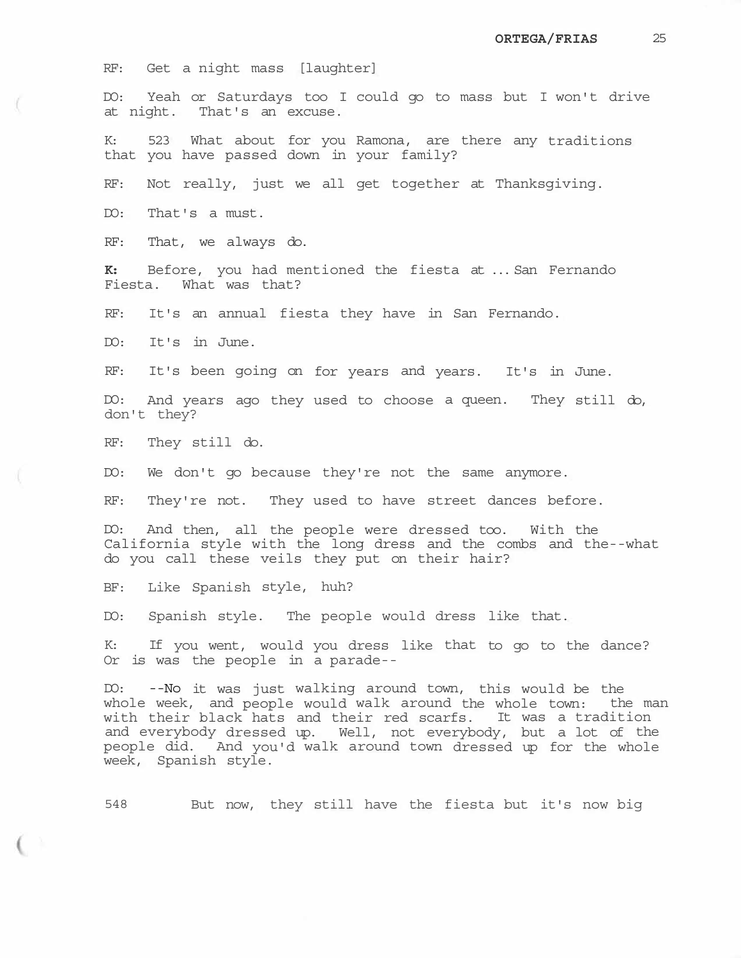RF: Get a night mass [laughter]

DO: Yeah or Saturdays too I could go to mass but I won't drive at night. That's an excuse.

K: 523 What about for you Ramona, are there any traditions that you have passed down in your family?

RF: Not really, just we all get together at Thanksgiving.

DO: That's a must.

RF: That, we always do.

**K:** Before, you had mentioned the fiesta at ... San Fernando Fiesta. What was that?

RF: It's an annual fiesta they have in San Fernando.

DO: It's in June.

RF: It's been going on for years and years. It's in June.

DO: And years ago they used to choose a queen. They still do, don't they?

RF: They still do.

DO: We don't go because they're not the same anymore.

RF: They're not. They used to have street dances before.

DO: And then, all the people were dressed too. With the California style with the long dress and the combs and the--what do you call these veils they put on their hair?

BF: Like Spanish style, huh?

DO: Spanish style. The people would dress like that.

K: If you went, would you dress like that to go to the dance? Or is was the people in a parade--

DO: --No it was just walking around town, this would be the whole week, and people would walk around the whole town: the man with their black hats and their red scarfs. It was a tradition and everybody dressed up. Well, not everybody, but a lot of the people did. And you'd walk around town dressed up for the whole week, Spanish style.

548 But now, they still have the fiesta but it's now big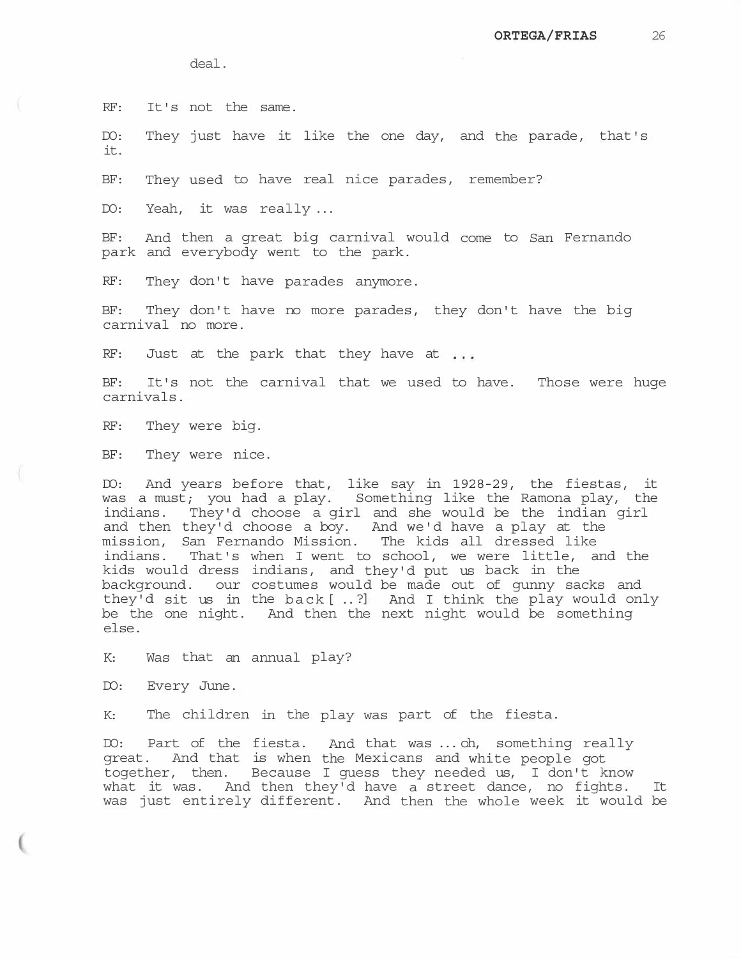deal.

RF: It's not the same.

DO: They just have it like the one day, and the parade, that's it.

BF: They used to have real nice parades, remember?

DO: Yeah, it was really ...

BF: And then a great big carnival would come to San Fernando park and everybody went to the park.

RF: They don't have parades anymore.

BF: They don't have no more parades, they don't have the big carnival no more.

RF: Just at the park that they have at ...

BF: It's not the carnival that we used to have. Those were huge carnivals.

RF: They were big.

BF: They were nice.

DO: And years before that, like say in 1928-29, the fiestas, it was a must; you had a play. Something like the Ramona play, the indians. They'd choose a girl and she would be the indian girl and then they'd choose a boy. And we'd have a play at the mission, San Fernando Mission. The kids all dressed like indians. That's when I went to school, we were little, and the kids would dress indians, and they'd put us back in the background. our costumes would be made out of gunny sacks and they'd sit us in the back[ ..?] And I think the play would only be the one night. And then the next night would be something else.

K: Was that an annual play?

DO: Every June.

K: The children in the play was part of the fiesta.

DO: Part of the fiesta. And that was ... oh, something really great. And that is when the Mexicans and white people got together, then. Because I guess they needed us, I don't know what it was. And then they'd have a street dance, no fights. It was just entirely different. And then the whole week it would be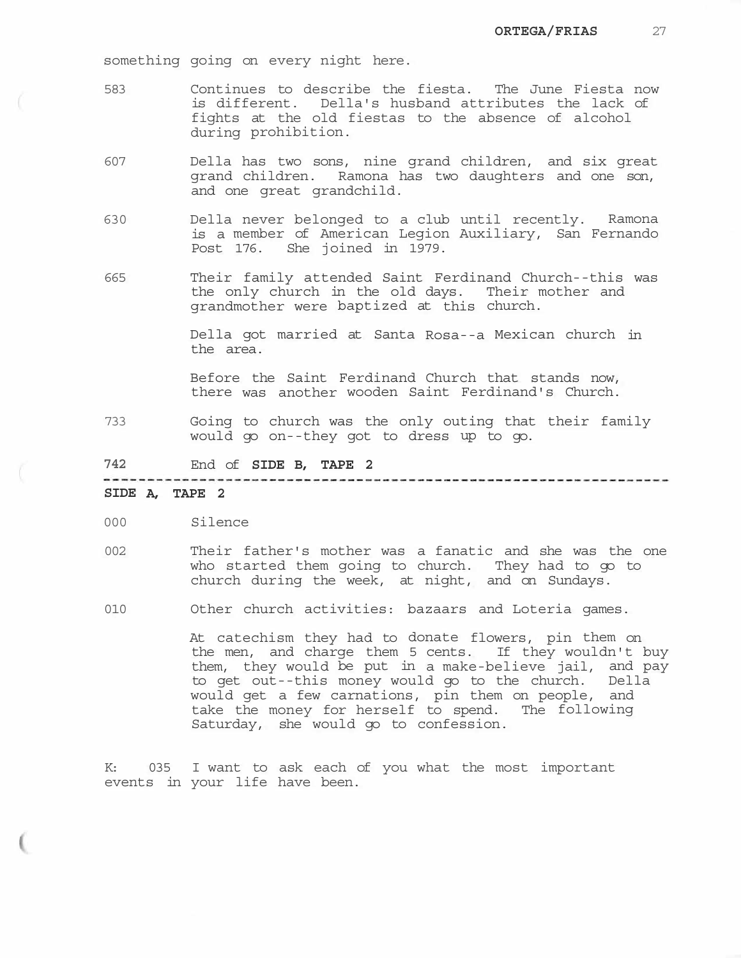something going on every night here.

- 583 Continues to describe the fiesta. The June Fiesta now is different. Della's husband attributes the lack of fights at the old fiestas to the absence of alcohol during prohibition.
- 607 Della has two sons, nine grand children, and six great grand children. Ramona has two daughters and one son, and one great grandchild.
- 630 Della never belonged to a club until recently. Ramona is a member of American Legion Auxiliary, San Fernando Post 176. She joined in 1979.
- 665 Their family attended Saint Ferdinand Church--this was the only church in the old days. Their mother and grandmother were baptized at this church.

Della got married at Santa Rosa--a Mexican church in the area.

Before the Saint Ferdinand Church that stands now, there was another wooden Saint Ferdinand's Church.

733 Going to church was the only outing that their family would go on--they got to dress up to go.

**742** End of **SIDE B, TAPE 2** 

**SIDE A, TAPE 2** 

- 000 Silence
- 002 Their father's mother was a fanatic and she was the one who started them going to church. They had to go to church during the week, at night, and on Sundays.
- 010 Other church activities: bazaars and Loteria games.

At catechism they had to donate flowers, pin them on the men, and charge them 5 cents. If they wouldn't buy them, they would be put in a make-believe jail, and pay to get out--this money would go to the church. Della would get a few carnations, pin them on people, and take the money for herself to spend. The following Saturday, she would go to confession.

K: 035 I want to ask each of you what the most important events in your life have been.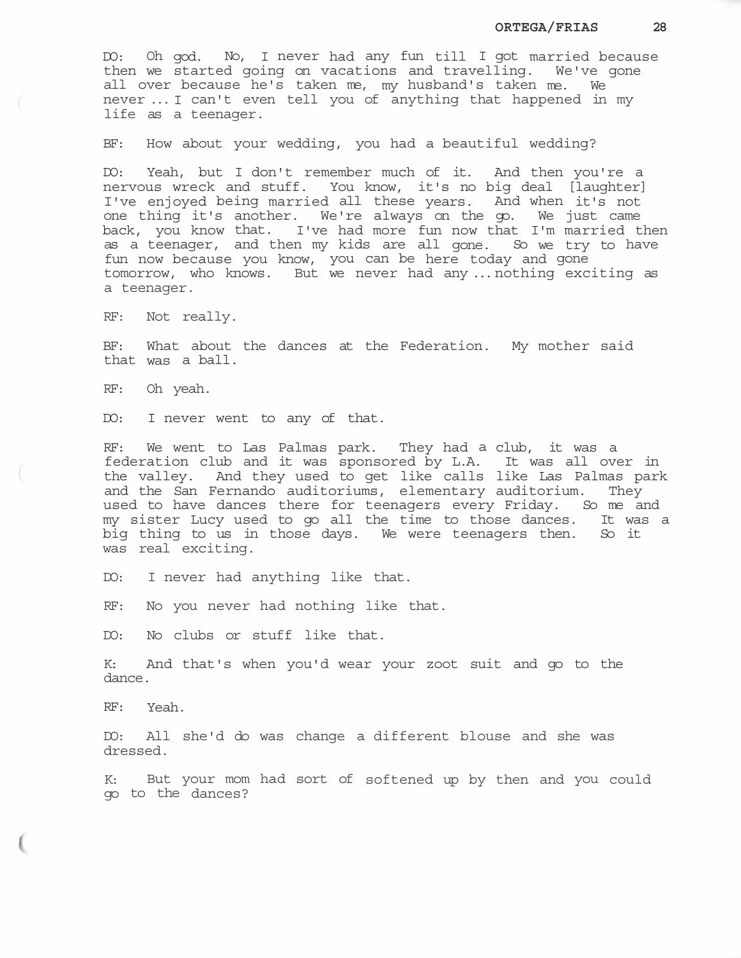DO: Oh god. No, I never had any fun till I got married because then we started going on vacations and travelling. We've gone all over because he's taken me, my husband's taken me. We never ... I can't even tell you of anything that happened in my life as a teenager.

BF: How about your wedding, you had a beautiful wedding?

DO: Yeah, but I don't remember much of it. And then you're a nervous wreck and stuff. You know, it's no big deal [laughter] I've enjoyed being married all these years. And when it's not one thing it's another. We're always on the go. We just came back, you know that. I've had more fun now that I'm married then as a teenager, and then my kids are all gone. So we try to have fun now because you know, you can be here today and gone tomorrow, who knows. But we never had any ... nothing exciting as a teenager.

RF: Not really.

BF: What about the dances at the Federation. My mother said that was a ball.

RF: Oh yeah.

DO: I never went to any of that.

RF: We went to Las Palmas park. They had a club, it was a federation club and it was sponsored by L.A. It was all over in the valley. And they used to get like calls like Las Palmas park and the San Fernando auditoriums, elementary auditorium. They used to have dances there for teenagers every Friday. So me and my sister Lucy used to go all the time to those dances. It was a big thing to us in those days. We were teenagers then. So it was real exciting.

DO: I never had anything like that.

RF: No you never had nothing like that.

DO: No clubs or stuff like that.

K: And that's when you'd wear your zoot suit and go to the dance.

RF: Yeah.

DO: All she'd do was change a different blouse and she was dressed.

K: But your mom had sort of softened up by then and you could go to the dances?